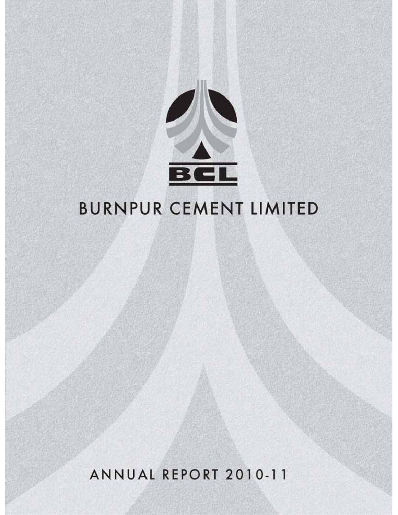

# **BURNPUR CEMENT LIMITED**

ANNUAL REPORT 2010-11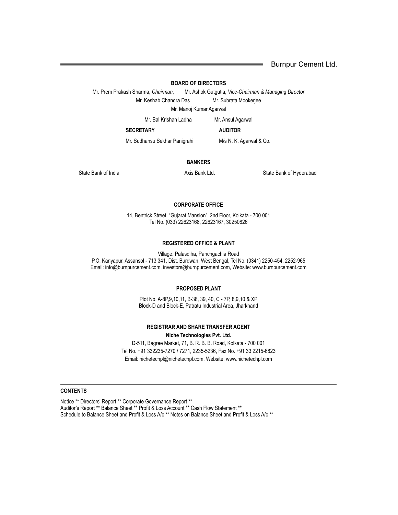Burnpur Cement Ltd.

#### **BOARD OF DIRECTORS**

Mr. Prem Prakash Sharma, *Chairman*, Mr. Ashok Gutgutia, *Vice-Chairman & Managing Director* Mr. Keshab Chandra Das Mr. Subrata Mookerjee

Mr. Manoj Kumar Agarwal

Mr. Bal Krishan Ladha Mr. Ansul Agarwal

**SECRETARY AUDITOR**

Mr. Sudhansu Sekhar Panigrahi M/s N. K. Agarwal & Co.

#### **BANKERS**

State Bank of India **Axis Bank Ltd.** Axis Bank Ltd. State Bank of Hyderabad State Bank of Hyderabad

#### **CORPORATE OFFICE**

14, Bentrick Street, "Gujarat Mansion", 2nd Floor, Kolkata - 700 001 Tel No. (033) 22623168, 22623167, 30250826

#### **REGISTERED OFFICE & PLANT**

Village: Palasdiha, Panchgachia Road P.O. Kanyapur, Assansol - 713 341, Dist. Burdwan, West Bengal, Tel No. (0341) 2250-454, 2252-965 Email: info@burnpurcement.com, investors@burnpurcement.com, Website: www.burnpurcement.com

#### **PROPOSED PLANT**

Plot No. A-8P,9,10,11, B-38, 39, 40, C - 7P, 8,9,10 & XP Block-D and Block-E, Patratu Industrial Area, Jharkhand

#### **REGISTRAR AND SHARE TRANSFER AGENT Niche Technologies Pvt. Ltd.**

D-511, Bagree Market, 71, B. R. B. B. Road, Kolkata - 700 001 Tel No. +91 332235-7270 / 7271, 2235-5236, Fax No. +91 33 2215-6823 Email: nichetechpl@nichetechpl.com, Website: www.nichetechpl.com

#### **CONTENTS**

Notice \*\* Directors' Report \*\* Corporate Governance Report \*\* Auditor's Report \*\* Balance Sheet \*\* Profit & Loss Account \*\* Cash Flow Statement \*\* Schedule to Balance Sheet and Profit & Loss A/c<sup>\*\*</sup> Notes on Balance Sheet and Profit & Loss A/c<sup>\*\*</sup>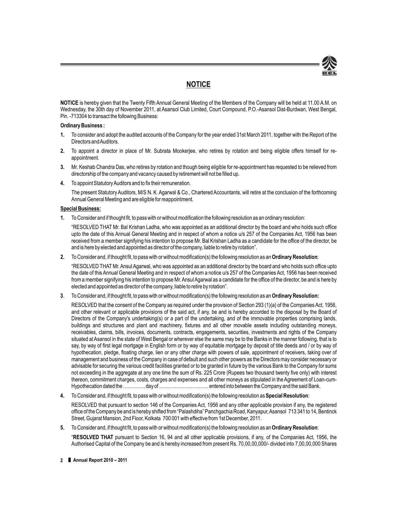

### **NOTICE**

**NOTICE** is hereby given that the Twenty Fifth Annual General Meeting of the Members of the Company will be held at 11.00 A.M. on Wednesday, the 30th day of November 2011, at Asansol Club Limited, Court Compound, P.O.-Asansol Dist-Burdwan, West Bengal, Pin. -713304 to transact the following Business:

#### **Ordinary Business :**

- **1.** To consider and adopt the audited accounts of the Company for the year ended 31st March 2011, together with the Report of the Directors and Auditors.
- **2.** To appoint a director in place of Mr. Subrata Mookerjee, who retires by rotation and being eligible offers himself for reappointment.
- **3.** Mr. Keshab Chandra Das, who retires by rotation and though being eligible for re-appointment has requested to be relieved from directorship of the company and vacancy caused by retirement will not be filled up.
- **4.** To appoint Statutory Auditors and to fix their remuneration.

The present Statutory Auditors, M/S N. K. Agarwal & Co., Chartered Accountants, will retire at the conclusion of the forthcoming Annual General Meeting and are eligible for reappointment.

#### **Special Business:**

**1.** To Consider and if thought fit, to pass with or without modification the following resolution as an ordinary resolution:

"RESOLVED THAT Mr. Bal Krishan Ladha, who was appointed as an additional director by the board and who holds such office upto the date of this Annual General Meeting and in respect of whom a notice u/s 257 of the Companies Act, 1956 has been received from a member signifying his intention to propose Mr. Bal Krishan Ladha as a candidate for the office of the director, be and is here by elected and appointed as director of the company, liable to retire by rotation".

**2.** To Consider and, if thought fit, to pass with or without modification(s) the following resolution as an **Ordinary Resolution**:

"RESOLVED THAT Mr. Ansul Agarwal, who was appointed as an additional director by the board and who holds such office upto the date of this Annual General Meeting and in respect of whom a notice u/s 257 of the Companies Act, 1956 has been received from a member signifying his intention to propose Mr. Ansul Agarwal as a candidate for the office of the director, be and is here by elected and appointed as director of the company, liable to retire by rotation".

**3**. To Consider and, if thought fit, to pass with or without modification(s) the following resolution as an **Ordinary Resolution:**

RESOLVED that the consent of the Company as required under the provision of Section 293 (1)(a) of the Companies Act, 1956, and other relevant or applicable provisions of the said act, if any, be and is hereby accorded to the disposal by the Board of Directors of the Company's undertaking(s) or a part of the undertaking, and of the immovable properties comprising lands, buildings and structures and plant and machinery, fixtures and all other movable assets including outstanding moneys, receivables, claims, bills, invoices, documents, contracts, engagements, securities, investments and rights of the Company situated at Asansol in the state of West Bengal or wherever else the same may be to the Banks in the manner following, that is to say, by way of first legal mortgage in English form or by way of equitable mortgage by deposit of title deeds and / or by way of hypothecation, pledge, floating charge, lien or any other charge with powers of sale, appointment of receivers, taking over of management and business of the Company in case of default and such other powers as the Directors may consider necessary or advisable for securing the various credit facilities granted or to be granted in future by the various Bank to the Company for sums not exceeding in the aggregate at any one time the sum of Rs. 225 Crore (Rupees two thousand twenty five only) with interest thereon, commitment charges, costs, charges and expenses and all other moneys as stipulated in the Agreement of Loan-cum-Hypothecation dated the ………….. day of …………………………. entered into between the Company and the said Bank.

- **4.** To Consider and, if thought fit, to pass with or without modification(s) the following resolution as **Special Resolution**: RESOLVED that pursuant to section 146 of the Companies Act, 1956 and any other applicable provision if any, the registered office of the Company be and is hereby shifted from "Palashdiha" Panchgachia Road, Kanyapur,Asansol 713 341 to 14, Bentinck Street, Gujarat Mansion, 2nd Floor, Kolkata 700 001 with effective from 1st December, 2011.
- **5.** To Consider and, if thought fit, to pass with or without modification(s) the following resolution as an **Ordinary Resolution**: "**RESOLVED THAT** pursuant to Section 16, 94 and all other applicable provisions, if any, of the Companies Act, 1956, the Authorised Capital of the Company be and is hereby increased from present Rs. 70,00,00,000/- divided into 7,00,00,000 Shares
- **2** ❚ **Annual Report 2010 2011**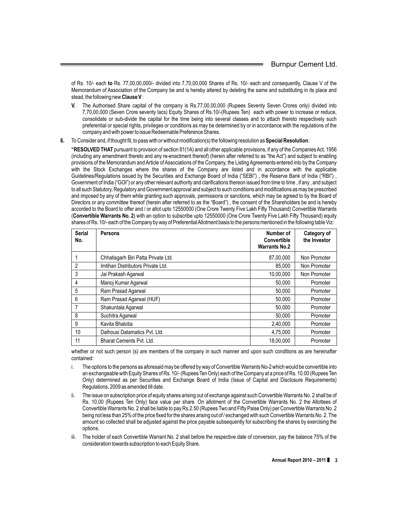of Rs. 10/- each **to** Rs. 77,00,00,000/- divided into 7,70,00,000 Shares of Rs. 10/- each and consequently, Clause V of the Memorandum of Association of the Company be and is hereby altered by deleting the same and substituting in its place and stead, the following new **Clause V** :

- **V.** The Authorised Share capital of the company is Rs.77,00,00,000 (Rupees Seventy Seven Crores only) divided into 7,70,00,000 (Seven Crore seventy lacs) Equity Shares of Rs.10/-(Rupees Ten) each with power to increase or reduce, consolidate or sub-divide the capital for the time being into several classes and to attach thereto respectively such preferential or special rights, privileges or conditions as may be determined by or in accordance with the regulations of the company and with power to issue Redeemable Preference Shares.
- **6.** To Consider and, if thought fit, to pass with or without modification(s) the following resolution as **Special Resolution**:

**"RESOLVED THAT** pursuant to provision of section 81(1A) and all other applicable provisions, if any of the Companies Act, 1956 (including any amendment thereto and any re-enactment thereof) (herein after referred to as "the Act") and subject to enabling provisions of the Memorandum and Article of Associations of the Company, the Listing Agreements entered into by the Company with the Stock Exchanges where the shares of the Company are listed and in accordance with the applicable Guidelines/Regulations issued by the Securities and Exchange Board of India ("SEBI") , the Reserve Bank of India ("RBI") , Government of India ("GOI") or any other relevant authority and clarifications thereon issued from time to time , if any , and subject to all such Statutory, Regulatory and Government approval and subject to such conditions and modifications as may be prescribed and imposed by any of them while granting such approvals, permissions or sanctions, which may be agreed to by the Board of Directors or any committee thereof (herein after referred to as the "Board") , the consent of the Shareholders be and is hereby accorded to the Board to offer and / or allot upto 12550000 (One Crore Twenty Five Lakh Fifty Thousand) Convertible Warrants (**Convertible Warrants No. 2**) with an option to subscribe upto 12550000 (One Crore Twenty Five Lakh Fifty Thousand) equity shares of Rs. 10/- each of the Company by way of Preferential Allotment basis to the persons mentioned in the following table Viz:

| <b>Serial</b><br>No. | <b>Persons</b>                      | Number of<br><b>Convertible</b><br><b>Warrants No.2</b> | Category of<br>the Investor |
|----------------------|-------------------------------------|---------------------------------------------------------|-----------------------------|
|                      | Chhatisgarh Biri Patta Private Ltd. | 87,00,000                                               | Non Promoter                |
| 2                    | Imtihan Distributors Private Ltd.   | 85,000                                                  | Non Promoter                |
| 3                    | Jai Prakash Agarwal                 | 10,00,000                                               | Non Promoter                |
| 4                    | Manoj Kumar Agarwal                 | 50.000                                                  | Promoter                    |
| 5                    | Ram Prasad Agarwal                  | 50,000                                                  | Promoter                    |
| 6                    | Ram Prasad Agarwal (HUF)            | 50,000                                                  | Promoter                    |
| 7                    | Shakuntala Agarwal                  | 50,000                                                  | Promoter                    |
| 8                    | Suchitra Agarwal                    | 50,000                                                  | Promoter                    |
| 9                    | Kavita Bhalotia                     | 2.40.000                                                | Promoter                    |
| 10                   | Dalhousi Datamatics Pvt. Ltd.       | 4.75.000                                                | Promoter                    |
| 11                   | Bharat Cements Pvt. Ltd.            | 18.00.000                                               | Promoter                    |

whether or not such person (s) are members of the company in such manner and upon such conditions as are hereinafter contained:

- i. The options to the persons as aforesaid may be offered by way of Convertible Warrants No-2 which would be convertible into an exchangeable with Equity Shares of Rs. 10/- (Rupees Ten Only) each of the Company at a price of Rs. 10.00 (Rupees Ten Only) determined as per Securities and Exchange Board of India (Issue of Capital and Disclosure Requirements) Regulations, 2009 as amended till date.
- ii. The issue on subscription price of equity shares arising out of exchange against such Convertible Warrants No. 2 shall be of Rs. 10.00 (Rupees Ten Only) face value per share. On allotment of the Convertible Warrants No. 2 the Allottees of Convertible Warrants No. 2 shall be liable to pay Rs.2.50 (Rupees Two and Fifty Paise Only) per Convertible Warrants No. 2 being not less than 25% of the price fixed for the shares arising out of / exchanged with such Convertible Warrants No. 2. The amount so collected shall be adjusted against the price payable subsequently for subscribing the shares by exercising the options.
- iii. The holder of each Convertible Warrant No. 2 shall before the respective date of conversion, pay the balance 75% of the consideration towards subscription to each Equity Share.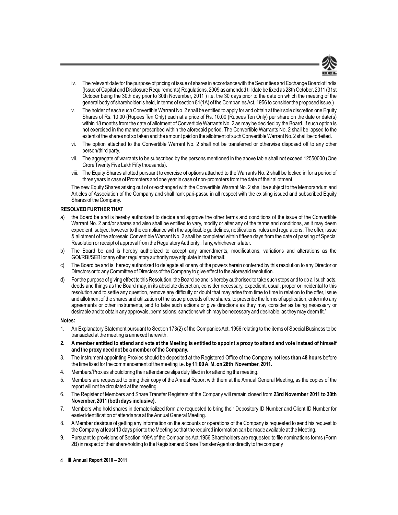

- iv. The relevant date for the purpose of pricing of issue of shares in accordance with the Securities and Exchange Board of India (Issue of Capital and Disclosure Requirements) Regulations, 2009 as amended till date be fixed as 28th October, 2011 (31st October being the 30th day prior to 30th November, 2011 ) i.e. the 30 days prior to the date on which the meeting of the general body of shareholder is held, in terms of section 81(1A) of the Companies Act, 1956 to consider the proposed issue.)
- v. The holder of each such Convertible Warrant No. 2 shall be entitled to apply for and obtain at their sole discretion one Equity Shares of Rs. 10.00 (Rupees Ten Only) each at a price of Rs. 10.00 (Rupees Ten Only) per share on the date or date(s) within 18 months from the date of allotment of Convertible Warrants No. 2 as may be decided by the Board. If such option is not exercised in the manner prescribed within the aforesaid period. The Convertible Warrants No. 2 shall be lapsed to the extent of the shares not so taken and the amount paid on the allotment of such Convertible Warrant No. 2 shall be forfeited.
- vi. The option attached to the Convertible Warrant No. 2 shall not be transferred or otherwise disposed off to any other person/third party.
- vii. The aggregate of warrants to be subscribed by the persons mentioned in the above table shall not exceed 12550000 (One Crore Twenty Five Lakh Fifty thousands).
- viii. The Equity Shares allotted pursuant to exercise of options attached to the Warrants No. 2 shall be locked in for a period of three years in case of Promoters and one year in case of non-promoters from the date of their allotment.

The new Equity Shares arising out of or exchanged with the Convertible Warrant No. 2 shall be subject to the Memorandum and Articles of Association of the Company and shall rank pari-passu in all respect with the existing issued and subscribed Equity Shares of the Company.

#### **RESOLVED FURTHER THAT**

- a) the Board be and is hereby authorized to decide and approve the other terms and conditions of the issue of the Convertible Warrant No. 2 and/or shares and also shall be entitled to vary, modify or alter any of the terms and conditions, as it may deem expedient, subject however to the compliance with the applicable guidelines, notifications, rules and regulations. The offer, issue & allotment of the aforesaid Convertible Warrant No. 2 shall be completed within fifteen days from the date of passing of Special Resolution or receipt of approval from the Regulatory Authority, if any, whichever is later.
- b) The Board be and is hereby authorized to accept any amendments, modifications, variations and alterations as the GOI/RBI/SEBI or any other regulatory authority may stipulate in that behalf.
- c) The Board be and is hereby authorized to delegate all or any of the powers herein conferred by this resolution to any Director or Directors or to any Committee of Directors of the Company to give effect to the aforesaid resolution.
- d) For the purpose of giving effect to this Resolution, the Board be and is hereby authorised to take such steps and to do all such acts, deeds and things as the Board may, in its absolute discretion, consider necessary, expedient, usual, proper or incidental to this resolution and to settle any question, remove any difficulty or doubt that may arise from time to time in relation to the offer, issue and allotment of the shares and utilization of the issue proceeds of the shares, to prescribe the forms of application, enter into any agreements or other instruments, and to take such actions or give directions as they may consider as being necessary or desirable and to obtain any approvals, permissions, sanctions which may be necessary and desirable, as they may deem fit."

#### **Notes:**

- 1. An Explanatory Statement pursuant to Section 173(2) of the Companies Act, 1956 relating to the items of Special Business to be transacted at the meeting is annexed herewith.
- **2. A member entitled to attend and vote at the Meeting is entitled to appoint a proxy to attend and vote instead of himself and the proxy need not be a member of the Company.**
- 3. The instrument appointing Proxies should be deposited at the Registered Office of the Company not less **than 48 hours** before the time fixed for the commencement of the meeting i.e. **by 11:00A. M. on 28th November, 2011.**
- 4. Members/Proxies should bring their attendance slips duly filled in for attending the meeting.
- 5. Members are requested to bring their copy of the Annual Report with them at the Annual General Meeting, as the copies of the report will not be circulated at the meeting.
- 6. The Register of Members and Share Transfer Registers of the Company will remain closed from **23rd November 2011 to 30th November, 2011 (both days inclusive).**
- 7. Members who hold shares in dematerialized form are requested to bring their Depository ID Number and Client ID Number for easier identification of attendance at the Annual General Meeting.
- 8. A Member desirous of getting any information on the accounts or operations of the Company is requested to send his request to the Company at least 10 days prior to the Meeting so that the required information can be made available at the Meeting.
- 9. Pursuant to provisions of Section 109A of the Companies Act,1956 Shareholders are requested to file nominations forms (Form 2B) in respect of their shareholding to the Registrar and Share TransferAgent or directly to the company
- **4** ❚ **Annual Report 2010 2011**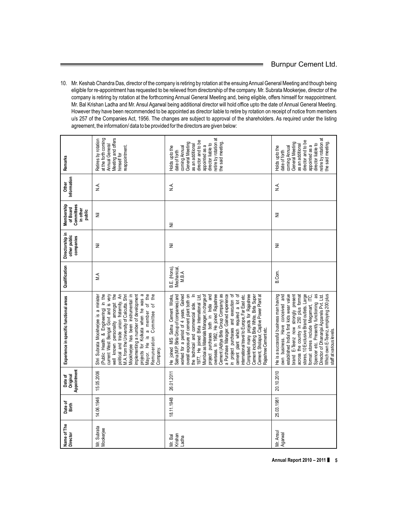10. Mr. Keshab Chandra Das, director of the company is retiring by rotation at the ensuing Annual General Meeting and though being eligible for re-appointment has requested to be relieved from directorship of the company. Mr. Subrata Mookerjee, director of the company is retiring by rotation at the forthcoming Annual General Meeting and, being eligible, offers himself for reappointment. Mr. Bal Krishan Ladha and Mr. Ansul Agarwal being additional director will hold office upto the date of Annual General Meeting. However they have been recommended to be appointed as director liable to retire by rotation on receipt of notice from members u/s 257 of the Companies Act, 1956. The changes are subject to approval of the shareholders. As required under the listing agreement, the information/ data to be provided for the directors are given below:

| Remarks                                                    | Meeting and offers<br>at the forth coming<br>Retires by rotation<br>Annual General<br>reappointment.<br>himself for                                                                                                                                                                                                                                                                                                                                   | retire by rotation at<br>director and to be<br>the said meeting.<br>General Meeting<br>director liable to<br>as an additional<br>appointed as a<br>Holds upto the<br>coming Annual<br>date of forth                                                                                                                                                                                                                                                                                                                                                                                                                                                                                                                                                                | retire by rotation at<br>director and to be<br>the said meeting.<br>General Meeting<br>director liable to<br>as an additional<br>appointed as a<br>coming Annual<br>Holds upto the<br>date of forth                                                                                                                                                                                                                                                   |
|------------------------------------------------------------|-------------------------------------------------------------------------------------------------------------------------------------------------------------------------------------------------------------------------------------------------------------------------------------------------------------------------------------------------------------------------------------------------------------------------------------------------------|--------------------------------------------------------------------------------------------------------------------------------------------------------------------------------------------------------------------------------------------------------------------------------------------------------------------------------------------------------------------------------------------------------------------------------------------------------------------------------------------------------------------------------------------------------------------------------------------------------------------------------------------------------------------------------------------------------------------------------------------------------------------|-------------------------------------------------------------------------------------------------------------------------------------------------------------------------------------------------------------------------------------------------------------------------------------------------------------------------------------------------------------------------------------------------------------------------------------------------------|
| Information<br>Other                                       | Ϋ́<br>Ν                                                                                                                                                                                                                                                                                                                                                                                                                                               | Ϋ́Ν                                                                                                                                                                                                                                                                                                                                                                                                                                                                                                                                                                                                                                                                                                                                                                | ∕k<br>Z                                                                                                                                                                                                                                                                                                                                                                                                                                               |
| Membership<br>Committees<br>of Board<br>in other<br>public | Ξ                                                                                                                                                                                                                                                                                                                                                                                                                                                     | 乬                                                                                                                                                                                                                                                                                                                                                                                                                                                                                                                                                                                                                                                                                                                                                                  | 乬                                                                                                                                                                                                                                                                                                                                                                                                                                                     |
| Directorship in<br>other public<br>companies               | 乬                                                                                                                                                                                                                                                                                                                                                                                                                                                     | Ξ                                                                                                                                                                                                                                                                                                                                                                                                                                                                                                                                                                                                                                                                                                                                                                  | Ξ                                                                                                                                                                                                                                                                                                                                                                                                                                                     |
| Qualification                                              | M.A                                                                                                                                                                                                                                                                                                                                                                                                                                                   | B.E. (Hons),<br>Mechanical,<br>M.B.A                                                                                                                                                                                                                                                                                                                                                                                                                                                                                                                                                                                                                                                                                                                               | B.Com.                                                                                                                                                                                                                                                                                                                                                                                                                                                |
| Experience in specific functional areas                    | projects for Kolkata when he was a<br>political and trade union fratemity. An<br>Mookherjee has been instrumental in<br>mplementing a number of development<br>Mayor. He is a member of the<br>well known personality amongst the<br>M.A. from the University of Calcutta. Shri<br>Remuneration Committee of the<br>Shri Subrata Mookherjee is a minister<br>(Public Health & Engineering) in the<br>current West Bengal Govt and is very<br>Company. | Mumbai as Materials Manager, in charge of<br>overseas. In 1982, He joined Rajashree<br>Cement (Aditya Birla Group Company) as<br>a Purchase Manager. Gained experience<br>in project purchases and execution of<br>cement plant which required a lot of<br>Completed many projects for Rajashree<br>Cement induding Birla White, Birla Super<br>worked for a period of 4 years. Gained<br>overall exposure of cement plant both on<br>project purchases both in India and<br>international travel to Europe, Far East etc.<br>Cement, Sholapur, Captive Power Plant at<br>He joined M/S Satna Cement Works,<br>Satna (M.P. Birla Group of companies) and<br>1977, He joined Birla International Ltd,<br>the technical and commercial side.<br>Rajashree Cementetc. | established India's first kids wear value<br>brand E-Teenz now strongly present<br>stores, 10 Exclusive Brand outlets. Large<br>Spencer etc. Presently functioning as<br>He is a successful business man having<br>own business. Have conceived and<br>across the country in 250 plus format<br>Which own E-Teenz, employing 200 plus<br>format stores include Megamart, ITC,<br>Director of Dhananjai Apparels Pvt. Ltd.<br>staff at various levels. |
| Appointment<br>Original<br>Date of                         | 15.05.2006                                                                                                                                                                                                                                                                                                                                                                                                                                            | 26.01.2011                                                                                                                                                                                                                                                                                                                                                                                                                                                                                                                                                                                                                                                                                                                                                         | 20.10.2010                                                                                                                                                                                                                                                                                                                                                                                                                                            |
| Date of<br>Birth                                           | 14.06.1946                                                                                                                                                                                                                                                                                                                                                                                                                                            | 18.11.1948                                                                                                                                                                                                                                                                                                                                                                                                                                                                                                                                                                                                                                                                                                                                                         | 25.03.1981                                                                                                                                                                                                                                                                                                                                                                                                                                            |
| Name of The<br>Director                                    | Mr. Subrata<br>Mookerjee                                                                                                                                                                                                                                                                                                                                                                                                                              | Krishan<br>Mr. Bal<br>Ladha                                                                                                                                                                                                                                                                                                                                                                                                                                                                                                                                                                                                                                                                                                                                        | Mr. Ansul<br>Agarwal                                                                                                                                                                                                                                                                                                                                                                                                                                  |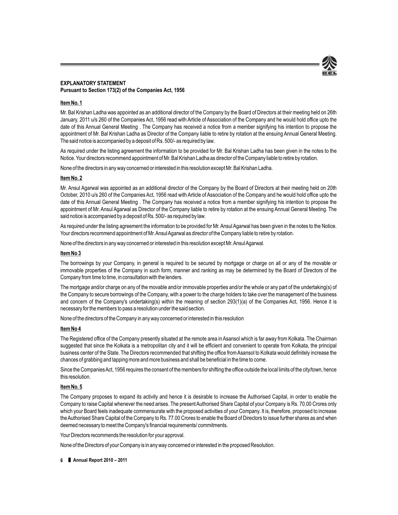

#### **EXPLANATORY STATEMENT Pursuant to Section 173(2) of the Companies Act, 1956**

#### **Item No. 1**

Mr. Bal Krishan Ladha was appointed as an additional director of the Company by the Board of Directors at their meeting held on 26th January, 2011 u/s 260 of the Companies Act, 1956 read with Article of Association of the Company and he would hold office upto the date of this Annual General Meeting . The Company has received a notice from a member signifying his intention to propose the appointment of Mr. Bal Krishan Ladha as Director of the Company liable to retire by rotation at the ensuing Annual General Meeting. The said notice is accompanied by a deposit of Rs. 500/- as required by law.

As required under the listing agreement the information to be provided for Mr. Bal Krishan Ladha has been given in the notes to the Notice. Your directors recommend appointment of Mr. Bal Krishan Ladha as director of the Company liable to retire by rotation.

None of the directors in any way concerned or interested in this resolution except Mr. Bal Krishan Ladha.

#### **Item No. 2**

Mr. Ansul Agarwal was appointed as an additional director of the Company by the Board of Directors at their meeting held on 20th October, 2010 u/s 260 of the Companies Act, 1956 read with Article of Association of the Company and he would hold office upto the date of this Annual General Meeting . The Company has received a notice from a member signifying his intention to propose the appointment of Mr. Ansul Agarwal as Director of the Company liable to retire by rotation at the ensuing Annual General Meeting. The said notice is accompanied by a deposit of Rs. 500/- as required by law.

As required under the listing agreement the information to be provided for Mr. Ansul Agarwal has been given in the notes to the Notice. Your directors recommend appointment of Mr. Ansul Agarwal as director of the Company liable to retire by rotation.

None of the directors in any way concerned or interested in this resolution except Mr.AnsulAgarwal.

#### **Item No 3**

The borrowings by your Company, in general is required to be secured by mortgage or charge on all or any of the movable or immovable properties of the Company in such form, manner and ranking as may be determined by the Board of Directors of the Company from time to time, in consultation with the lenders.

The mortgage and/or charge on any of the movable and/or immovable properties and/or the whole or any part of the undertaking(s) of the Company to secure borrowings of the Company, with a power to the charge holders to take over the management of the business and concern of the Company's undertaking(s) within the meaning of section 293(1)(a) of the Companies Act, 1956. Hence it is necessary for the members to pass a resolution under the said section.

None of the directors of the Company in any way concerned or interested in this resolution

#### **Item No 4**

The Registered office of the Company presently situated at the remote area in Asansol which is far away from Kolkata. The Chairman suggested that since the Kolkata is a metropolitan city and it will be efficient and convenient to operate from Kolkata, the principal business center of the State. The Directors recommended that shifting the office from Asansol to Kolkata would definitely increase the chances of grabbing and tapping more and more business and shall be beneficial in the time to come.

Since the Companies Act, 1956 requires the consent of the members for shifting the office outside the local limits of the city/town, hence this resolution.

#### **Item No. 5**

The Company proposes to expand its activity and hence it is desirable to increase the Authorised Capital, in order to enable the Company to raise Capital whenever the need arises. The present Authorised Share Capital of your Company is Rs. 70.00 Crores only which your Board feels inadequate commensurate with the proposed activities of your Company. It is, therefore, proposed to increase the Authorised Share Capital of the Company to Rs. 77.00 Crores to enable the Board of Directors to issue further shares as and when deemed necessary to meet the Company's financial requirements/ commitments.

Your Directors recommends the resolution for your approval.

None of the Directors of your Company is in any way concerned or interested in the proposed Resolution.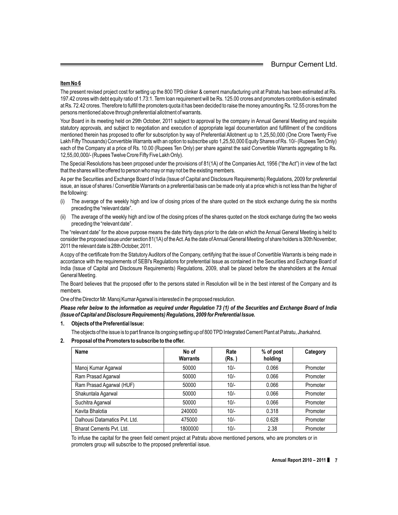#### **Item No 6**

The present revised project cost for setting up the 800 TPD clinker & cement manufacturing unit at Patratu has been estimated at Rs. 197.42 crores with debt equity ratio of 1.73:1. Term loan requirement will be Rs. 125.00 crores and promoters contribution is estimated at Rs. 72.42 crores. Therefore to fulfill the promoters quota it has been decided to raise the money amounting Rs. 12.55 crores from the persons mentioned above through preferential allotment of warrants.

Your Board in its meeting held on 29th October, 2011 subject to approval by the company in Annual General Meeting and requisite statutory approvals, and subject to negotiation and execution of appropriate legal documentation and fulfillment of the conditions mentioned therein has proposed to offer for subscription by way of Preferential Allotment up to 1,25,50,000 (One Crore Twenty Five Lakh Fifty Thousands) Convertible Warrants with an option to subscribe upto 1,25,50,000 Equity Shares of Rs. 10/- (Rupees Ten Only) each of the Company at a price of Rs. 10.00 (Rupees Ten Only) per share against the said Convertible Warrants aggregating to Rs. 12,55,00,000/- (Rupees Twelve Crore Fifty Five Lakh Only).

The Special Resolutions has been proposed under the provisions of 81(1A) of the Companies Act, 1956 ("the Act") in view of the fact that the shares will be offered to person who may or may not be the existing members.

As per the Securities and Exchange Board of India (Issue of Capital and Disclosure Requirements) Regulations, 2009 for preferential issue, an issue of shares / Convertible Warrants on a preferential basis can be made only at a price which is not less than the higher of the following:

- (i) The average of the weekly high and low of closing prices of the share quoted on the stock exchange during the six months preceding the "relevant date".
- (ii) The average of the weekly high and low of the closing prices of the shares quoted on the stock exchange during the two weeks preceding the "relevant date".

The "relevant date" for the above purpose means the date thirty days prior to the date on which the Annual General Meeting is held to consider the proposed issue under section 81(1A) of the Act.As the date of Annual General Meeting of share holders is 30th November, 2011 the relevant date is 28th October, 2011.

A copy of the certificate from the Statutory Auditors of the Company, certifying that the issue of Convertible Warrants is being made in accordance with the requirements of SEBI's Regulations for preferential Issue as contained in the Securities and Exchange Board of India (Issue of Capital and Disclosure Requirements) Regulations, 2009, shall be placed before the shareholders at the Annual General Meeting.

The Board believes that the proposed offer to the persons stated in Resolution will be in the best interest of the Company and its members.

One of the Director Mr. Manoj Kumar Agarwal is interested in the proposed resolution.

*Please refer below to the information as required under Regulation 73 (1) of the Securities and Exchange Board of India (Issue of Capital and Disclosure Requirements) Regulations, 2009 for Preferential Issue.*

- **1. Objects of the Preferential Issue:**
	- The objects of the issue is to part finance its ongoing setting up of 800 TPD Integrated Cement Plant at Patratu, Jharkahnd.
	- Name No of Rate % of post Category **Warrants (Rs. ) holding** Manoj Kumar Agarwal 50000 10/- 0.066 Promoter Ram Prasad Agarwal 50000 10/- 0.066 Promoter Ram Prasad Agarwal (HUF)  $\begin{array}{|c|c|c|c|c|c|c|c|} \hline \text{Ram Prasad Agarwal (HUF) } & 50000 & 10/- & 0.066 & \text{ Promoter} \ \hline \end{array}$ Shakuntala Agarwal 50000 10/- 0.066 Promoter Suchitra Agarwal 50000 10/- 0.066 Promoter Kavita Bhalotia 240000 10/- 0.318 Promoter Dalhousi Datamatics Pvt. Ltd. 10.475000 10/- 0.628 Promoter Bharat Cements Pvt. Ltd. 1800000 10/- 10/- 2.38 Promoter
- **2. Proposal of the Promoters to subscribe to the offer.**

To infuse the capital for the green field cement project at Patratu above mentioned persons, who are promoters or in promoters group will subscribe to the proposed preferential issue.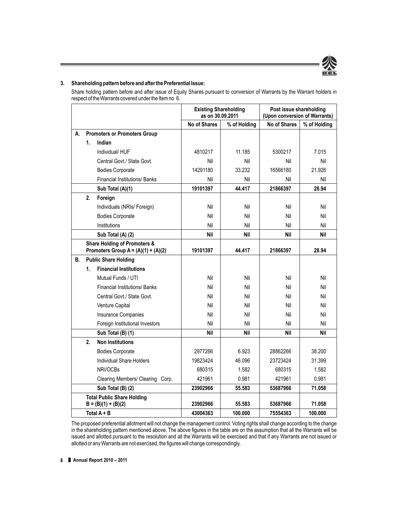

#### **3. Shareholding pattern before and after the Preferential Issue:**

Share holding pattern before and after issue of Equity Shares pursuant to conversion of Warrants by the Warrant holders in respect of the Warrants covered under the Item no 6.

|    |    |                                                                                  | <b>Existing Shareholding</b><br>as on 30.09.2011 |              | Post issue shareholding<br>(Upon conversion of Warrants) |              |
|----|----|----------------------------------------------------------------------------------|--------------------------------------------------|--------------|----------------------------------------------------------|--------------|
|    |    |                                                                                  | <b>No of Shares</b>                              | % of Holding | <b>No of Shares</b>                                      | % of Holding |
| А. |    | <b>Promoters or Promoters Group</b>                                              |                                                  |              |                                                          |              |
|    | 1. | Indian                                                                           |                                                  |              |                                                          |              |
|    |    | Individual/HUF                                                                   | 4810217                                          | 11.185       | 5300217                                                  | 7.015        |
|    |    | Central Govt./ State Govt.                                                       | Nil                                              | Nil          | Nil                                                      | Nil          |
|    |    | <b>Bodies Corporate</b>                                                          | 14291180                                         | 33.232       | 16566180                                                 | 21.926       |
|    |    | <b>Financial Institutions/ Banks</b>                                             | Nil                                              | Nil          | Nil                                                      | Nil          |
|    |    | Sub Total (A)(1)                                                                 | 19101397                                         | 44.417       | 21866397                                                 | 28.94        |
|    | 2. | Foreign                                                                          |                                                  |              |                                                          |              |
|    |    | Individuals (NRIs/ Foreign)                                                      | Nil                                              | Nil          | Nil                                                      | Nil          |
|    |    | <b>Bodies Corporate</b>                                                          | Nil                                              | Nil          | Nil                                                      | Nil          |
|    |    | Institutions                                                                     | Nil                                              | Nil          | Nil                                                      | Nil          |
|    |    | Sub Total (A) (2)                                                                | <b>Nil</b>                                       | <b>Nil</b>   | <b>Nil</b>                                               | <b>Nil</b>   |
|    |    | <b>Share Holding of Promoters &amp;</b><br>Promoters Group $A = (A)(1) + (A)(2)$ | 19101397                                         | 44.417       | 21866397                                                 | 28.94        |
| В. |    | <b>Public Share Holding</b>                                                      |                                                  |              |                                                          |              |
|    | 1. | <b>Financial Institutions</b>                                                    |                                                  |              |                                                          |              |
|    |    | Mutual Funds / UTI                                                               | Nil                                              | Nil          | Nil                                                      | Nil          |
|    |    | <b>Financial Institutions/ Banks</b>                                             | Nil                                              | Nil          | Nil                                                      | Nil          |
|    |    | Central Govt./ State Govt.                                                       | Nil                                              | Nil          | Nil                                                      | Nil          |
|    |    | Venture Capital                                                                  | Nil                                              | Nil          | Nil                                                      | Nil          |
|    |    | <b>Insurance Companies</b>                                                       | Nil                                              | Nil          | Nil                                                      | Nil          |
|    |    | Foreign Institutional Investors                                                  | Nil                                              | Nil          | Nil                                                      | Nil          |
|    |    | Sub Total (B) (1)                                                                | <b>Nil</b>                                       | <b>Nil</b>   | <b>Nil</b>                                               | <b>Nil</b>   |
|    | 2. | <b>Non Institutions</b>                                                          |                                                  |              |                                                          |              |
|    |    | <b>Bodies Corporate</b>                                                          | 2977266                                          | 6.923        | 28862266                                                 | 38.200       |
|    |    | Individual Share Holders                                                         | 19823424                                         | 46.096       | 23723424                                                 | 31.399       |
|    |    | NRI/OCBs                                                                         | 680315                                           | 1.582        | 680315                                                   | 1.582        |
|    |    | Clearing Members/ Clearing Corp.                                                 | 421961                                           | 0.981        | 421961                                                   | 0.981        |
|    |    | Sub Total (B) (2)                                                                | 23902966                                         | 55.583       | 53687966                                                 | 71.058       |
|    |    | <b>Total Public Share Holding</b><br>$B = (B)(1) + (B)(2)$                       | 23902966                                         | 55.583       | 53687966                                                 | 71.058       |
|    |    | Total $A + B$                                                                    | 43004363                                         | 100.000      | 75554363                                                 | 100.000      |

The proposed preferential allotment will not change the management control. Voting rights shall change according to the change in the shareholding pattern mentioned above. The above figures in the table are on the assumption that all the Warrants will be issued and allotted pursuant to the resolution and all the Warrants will be exercised and that if any Warrants are not issued or allotted or any Warrants are not exercised, the figures will change correspondingly.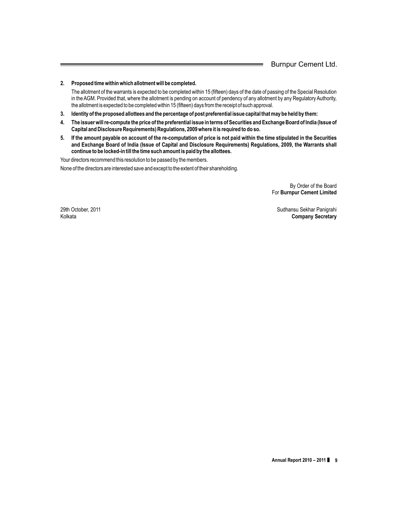#### **2. Proposed time within which allotment will be completed.**

The allotment of the warrants is expected to be completed within 15 (fifteen) days of the date of passing of the Special Resolution in the AGM. Provided that, where the allotment is pending on account of pendency of any allotment by any Regulatory Authority, the allotment is expected to be completed within 15 (fifteen) days from the receipt of such approval.

- **3. Identity of the proposed allottees and the percentage of post preferential issue capital that may be held by them:**
- **4. The issuer will re-compute the price of the preferential issue in terms of Securities and Exchange Board of India (Issue of Capital and Disclosure Requirements) Regulations, 2009 where it is required to do so.**
- **5. If the amount payable on account of the re-computation of price is not paid within the time stipulated in the Securities and Exchange Board of India (Issue of Capital and Disclosure Requirements) Regulations, 2009, the Warrants shall continue to be locked-in till the time such amount is paid by the allottees.**

Your directors recommend this resolution to be passed by the members.

None of the directors are interested save and except to the extent of their shareholding.

By Order of the Board For **Burnpur Cement Limited**

29th October, 2011 **Sudhansu Sekhar Panigrahi** Sudhansu Sekhar Panigrahi Kolkata **Company Secretary**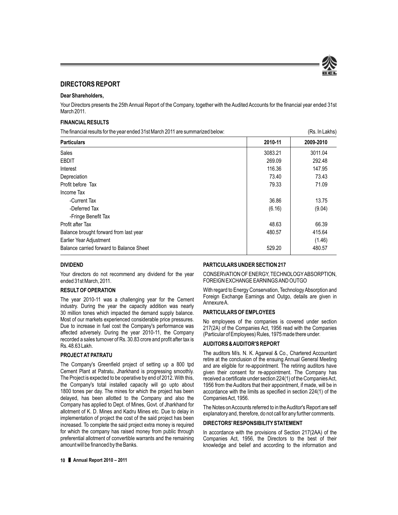

#### **DIRECTORS REPORT**

#### **Dear Shareholders,**

Your Directors presents the 25th Annual Report of the Company, together with the Audited Accounts for the financial year ended 31st March 2011.

#### **FINANCIAL RESULTS**

The financial results for the year ended 31st March 2011 are summarized below: (Rs. In Lakhs)

| <b>Particulars</b>                       | 2010-11 | 2009-2010 |
|------------------------------------------|---------|-----------|
| Sales                                    | 3083.21 | 3011.04   |
| <b>EBDIT</b>                             | 269.09  | 292.48    |
| Interest                                 | 116.36  | 147.95    |
| Depreciation                             | 73.40   | 73.43     |
| Profit before Tax                        | 79.33   | 71.09     |
| Income Tax                               |         |           |
| -Current Tax                             | 36.86   | 13.75     |
| -Deferred Tax                            | (6.16)  | (9.04)    |
| -Fringe Benefit Tax                      |         |           |
| Profit after Tax                         | 48.63   | 66.39     |
| Balance brought forward from last year   | 480.57  | 415.64    |
| Earlier Year Adjustment                  |         | (1.46)    |
| Balance carried forward to Balance Sheet | 529.20  | 480.57    |

#### **DIVIDEND**

Your directors do not recommend any dividend for the year ended 31st March, 2011.

#### **RESULT OF OPERATION**

The year 2010-11 was a challenging year for the Cement industry. During the year the capacity addition was nearly 30 million tones which impacted the demand supply balance. Most of our markets experienced considerable price pressures. Due to increase in fuel cost the Company's performance was affected adversely. During the year 2010-11, the Company recorded a sales turnover of Rs. 30.83 crore and profit after tax is Rs. 48.63 Lakh.

#### **PROJECT AT PATRATU**

The Company's Greenfield project of setting up a 800 tpd Cement Plant at Patratu, Jharkhand is progressing smoothly. The Project is expected to be operative by end of 2012. With this, the Company's total installed capacity will go upto about 1800 tones per day. The mines for which the project has been delayed, has been allotted to the Company and also the Company has applied to Dept. of Mines, Govt. of Jharkhand for allotment of K. D. Mines and Kadru Mines etc. Due to delay in implementation of project the cost of the said project has been increased. To complete the said project extra money is required for which the company has raised money from public through preferential allotment of convertible warrants and the remaining amount will be financed by the Banks.

#### **PARTICULARS UNDER SECTION 217**

CONSERVATION OF ENERGY, TECHNOLOGYABSORPTION, FOREIGN EXCHANGE EARNINGS AND OUTGO

With regard to Energy Conservation, Technology Absorption and Foreign Exchange Earnings and Outgo, details are given in Annexure A.

#### **PARTICULARS OF EMPLOYEES**

No employees of the companies is covered under section 217(2A) of the Companies Act, 1956 read with the Companies (Particular of Employees) Rules, 1975 made there under.

#### **AUDITORS & AUDITOR'S REPORT**

The auditors M/s. N. K. Agarwal & Co., Chartered Accountant retire at the conclusion of the ensuing Annual General Meeting and are eligible for re-appointment. The retiring auditors have given their consent for re-appointment. The Company has received a certificate under section 224(1) of the Companies Act, 1956 from the Auditors that their appointment, if made, will be in accordance with the limits as specified in section 224(1) of the Companies Act, 1956.

The Notes on Accounts referred to in the Auditor's Report are self explanatory and, therefore, do not call for any further comments.

#### **DIRECTORS' RESPONSIBILITY STATEMENT**

In accordance with the provisions of Section 217(2AA) of the Companies Act, 1956, the Directors to the best of their knowledge and belief and according to the information and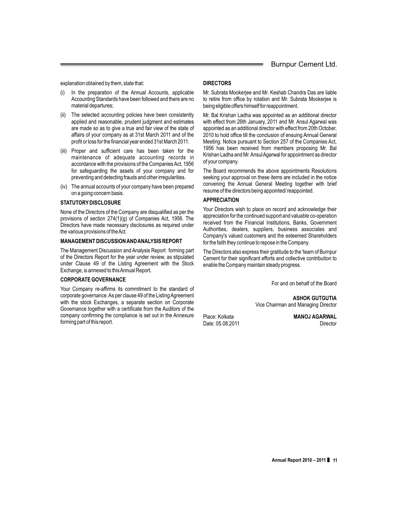explanation obtained by them, state that:

- In the preparation of the Annual Accounts, applicable Accounting Standards have been followed and there are no material departures;
- (ii) The selected accounting policies have been consistently applied and reasonable, prudent judgment and estimates are made so as to give a true and fair view of the state of affairs of your company as at 31st March 2011 and of the profit or loss for the financial year ended 31st March 2011.
- (iii) Proper and sufficient care has been taken for the maintenance of adequate accounting records in accordance with the provisions of the Companies Act, 1956 for safeguarding the assets of your company and for preventing and detecting frauds and other irregularities.
- (iv) The annual accounts of your company have been prepared on a going concern basis.

#### **STATUTORY DISCLOSURE**

None of the Directors of the Company are disqualified as per the provisions of section 274(1)(g) of Companies Act, 1956. The Directors have made necessary disclosures as required under the various provisions of the Act.

#### **MANAGEMENT DISCUSSION AND ANALYSIS REPORT**

The Management Discussion and Analysis Report forming part of the Directors Report for the year under review, as stipulated under Clause 49 of the Listing Agreement with the Stock Exchange, is annexed to this Annual Report.

#### **CORPORATE GOVERNANCE**

Your Company re-affirms its commitment to the standard of corporate governance. As per clause 49 of the Listing Agreement with the stock Exchanges, a separate section on Corporate Governance together with a certificate from the Auditors of the company confirming the compliance is set out in the Annexure forming part of this report.

#### **DIRECTORS**

Mr. Subrata Mookerjee and Mr. Keshab Chandra Das are liable to retire from office by rotation and Mr. Subrata Mookerjee is being eligible offers himself for reappointment.

Mr. Bal Krishan Ladha was appointed as an additional director with effect from 26th January, 2011 and Mr. Ansul Agarwal was appointed as an additional director with effect from 20th October, 2010 to hold office till the conclusion of ensuing Annual General Meeting. Notice pursuant to Section 257 of the Companies Act, 1956 has been received from members proposing Mr. Bal Krishan Ladha and Mr. Ansul Agarwal for appointment as director of your company.

The Board recommends the above appointments Resolutions seeking your approval on these items are included in the notice convening the Annual General Meeting together with brief resume of the directors being appointed/ reappointed.

#### **APPRECIATION**

Your Directors wish to place on record and acknowledge their appreciation for the continued support and valuable co-operation received from the Financial Institutions, Banks, Government Authorities, dealers, suppliers, business associates and Company's valued customers and the esteemed Shareholders for the faith they continue to repose in the Company.

The Directors also express their gratitude to the 'team of Burnpur Cement for their significant efforts and collective contribution to enable the Company maintain steady progress.

For and on behalf of the Board

**ASHOK GUTGUTIA** Vice Chairman and Managing Director

Place: Kolkata **MANOJ AGARWAL** Date: 05.08.2011 Director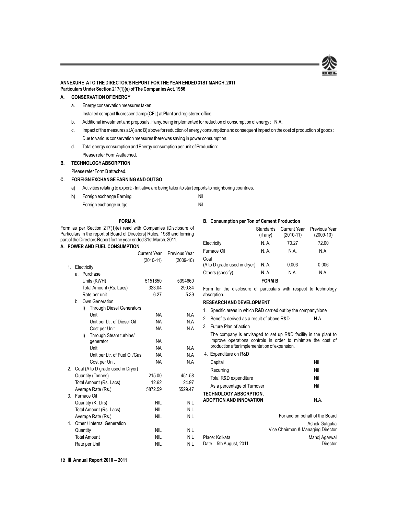

#### **ANNEXURE A TO THE DIRECTOR'S REPORT FOR THE YEAR ENDED 31ST MARCH, 2011 Particulars Under Section 217(1)(e) of The Companies Act, 1956**

#### **A. CONSERVATION OF ENERGY**

a. Energy conservation measures taken

Installed compact fluorescent lamp (CFL) at Plant and registered office.

- b. Additional investment and proposals, if any, being implemented for reduction of consumption of energy : N.A.
- c. Impact of the measures at A) and B) above for reduction of energy consumption and consequent impact on the cost of production of goods : Due to various conservation measures there was saving in power consumption.
- d. Total energy consumption and Energy consumption per unit of Production: Please refer Form A attached.

**B. TECHNOLOGY ABSORPTION**

Please refer Form B attached.

#### **C. FOREIGN EXCHANGE EARNING AND OUTGO**

- a) Activities relating to export: Initiative are being taken to start exports to neighboring countries.
- b) Foreign exchange Earning Nil Foreign exchange outgo Nil

#### **FORM A**

#### **B. Consumption per Ton of Cement Production**

Form as per Section 217(1)(e) read with Companies (Disclosure of Particulars in the report of Board of Directors) Rules, 1988 and forming part of the Directors Report for the year ended 31st March, 2011.

|  | A. POWER AND FUEL CONSUMPTION |
|--|-------------------------------|
|  |                               |

|    |    |                                        | Current Year | Previous Year |
|----|----|----------------------------------------|--------------|---------------|
|    |    |                                        | (2010-11)    | $(2009-10)$   |
| 1. |    | Electricity                            |              |               |
|    | a. | Purchase                               |              |               |
|    |    | Units (KWH)                            | 5151850      | 5394660       |
|    |    | Total Amount (Rs. Lacs)                | 323.04       | 290.84        |
|    |    | Rate per unit                          | 6.27         | 5.39          |
|    | b. | Own Generation                         |              |               |
|    |    | <b>Through Diesel Generators</b><br>I) |              |               |
|    |    | Unit                                   | <b>NA</b>    | N.A           |
|    |    | Unit per Ltr. of Diesel Oil            | <b>NA</b>    | N.A           |
|    |    | Cost per Unit                          | <b>NA</b>    | N.A           |
|    |    | I)<br>Through Steam turbine/           |              |               |
|    |    | generator                              | <b>NA</b>    |               |
|    |    | Unit                                   | <b>NA</b>    | N.A           |
|    |    | Unit per Ltr. of Fuel Oil/Gas          | <b>NA</b>    | N.A           |
|    |    | Cost per Unit                          | <b>NA</b>    | N.A           |
| 2. |    | Coal (A to D grade used in Dryer)      |              |               |
|    |    | Quantity (Tonnes)                      | 215.00       | 451.58        |
|    |    | Total Amount (Rs. Lacs)                | 12.62        | 24.97         |
|    |    | Average Rate (Rs.)                     | 5872.59      | 5529.47       |
| 3. |    | Furnace Oil                            |              |               |
|    |    | Quantity (K. Ltrs)                     | <b>NIL</b>   | <b>NIL</b>    |
|    |    | Total Amount (Rs. Lacs)                | NII          | <b>NIL</b>    |
|    |    | Average Rate (Rs.)                     | <b>NIL</b>   | <b>NIL</b>    |
| 4. |    | Other / Internal Generation            |              |               |
|    |    | Quantity                               | <b>NIL</b>   | <b>NIL</b>    |
|    |    | <b>Total Amount</b>                    | <b>NIL</b>   | NII           |
|    |    | Rate per Unit                          | <b>NIL</b>   | NIL           |

|                                      | Standards<br>(if any) | <b>Current Year</b><br>$(2010-11)$ | Previous Year<br>$(2009-10)$ |
|--------------------------------------|-----------------------|------------------------------------|------------------------------|
| Electricity                          | N.A.                  | 70.27                              | 72.00                        |
| Furnace Oil                          | N.A.                  | N.A.                               | N.A.                         |
| Coal<br>(A to D grade used in dryer) | N. A.                 | 0.003                              | 0.006                        |
| Others (specify)                     | N.A.                  | N.A.                               | N.A.                         |
|                                      | <b>FORM B</b>         |                                    |                              |

Form for the disclosure of particulars with respect to technology absorption.

#### **RESEARCH AND DEVELOPMENT**

- 1. Specific areas in which R&D carried out by the companyNone
- 2. Benefits derived as a result of above R&D N.A
- 3. Future Plan of action The company is envisaged to set up R&D facility in the plant to

improve operations controls in order to minimize the cost of production after implementation of expansion.

| 4. Expenditure on R&D                                           |                                |
|-----------------------------------------------------------------|--------------------------------|
| Capital                                                         | Nil                            |
| Recurring                                                       | Nil                            |
| Total R&D expenditure                                           | Nil                            |
| As a percentage of Turnover                                     | Nil                            |
| <b>TECHNOLOGY ABSORPTION,</b><br><b>ADOPTION AND INNOVATION</b> | N.A.                           |
|                                                                 | For and on behalf of the Board |

|                        | Ashok Gutgutia                    |
|------------------------|-----------------------------------|
|                        | Vice Chairman & Managing Director |
| Place: Kolkata         | Manoj Agarwal                     |
| Date: 5th August, 2011 | Director                          |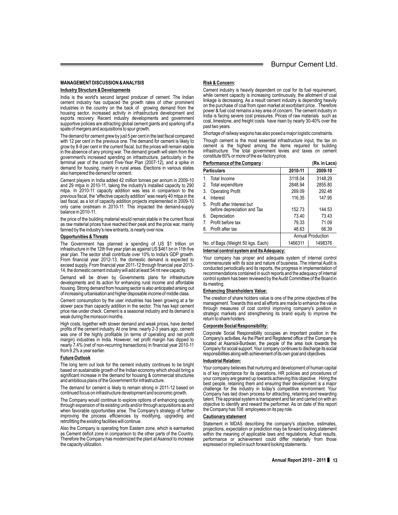#### **MANAGEMENT DISCUSSION & ANALYSIS**

#### **Industry Structure & Developments**

India is the world's second largest producer of cement. The Indian cement industry has outpaced the growth rates of other prominent industries in the country on the back of growing demand from the housing sector, increased activity in infrastructure development and exports recovery. Recent industry developments and government supportive policies are attracting global cement giants and sparking off a spate of mergers and acquisitions to spur growth.

The demand for cement grew by just 5 per cent in the last fiscal compared with 12 per cent in the previous one. The demand for cement is likely to grow by 8-9 per cent in the current fiscal, but the prices will remain stable in the absence of any pricing war. The demand growth will stem from the government's increased spending on infrastructure, particularly in the terminal year of the current Five-Year Plan (2007-12), and a spike in demand for housing, mainly in rural areas. Elections in various states also hampered the demand for cement.

Cement players in India added 42 million tonnes per annum in 2009-10 and 29 mtpa in 2010-11, taking the industry's installed capacity to 290 mtpa. In 2010-11 capacity addition was less in comparison to the previous fiscal, the "effective capacity addition" was nearly 40 mtpa in the last fiscal, as a lot of capacity addition projects implemented in 2009-10 only came onstream in 2010-11. This impacted the demand-supply balance in 2010-11.

the price of the building material would remain stable in the current fiscal as raw material prices have reached their peak and the price war, mainly fanned by the industry's new entrants, is nearly over now.

#### **Opportunities & Threats**

The Government has planned a spending of US \$1 trillion on infrastructure in the 12th five year plan as against US \$461 bn in 11th five year plan. The sector shall contribute over 10% to India's GDP growth. From financial year 2012-13, the domestic demand is expected to exceed supply. From financial year 2011-12 through financial year 2013- 14, the domestic cement industry will add at least 54 mt new capacity.

Demand will be driven by Governments plans for infrastructure developments and its action for enhancing rural income and affordable housing. Strong demand from housing sector is also anticipated arising out of increasing urbanisation and higher disposable income of middle class.

Cement consumption by the user industries has been growing at a far slower pace than capacity addition in the sector. This has kept cement price rise under check. Cement is a seasonal industry and its demand is weak during the monsoon months.

High costs, together with slower demand and weak prices, have dented profits of the cement industry. At one time, nearly 2-3 years ago, cement was one of the highly profitable (in terms of operating and net profit margin) industries in India. However, net profit margin has dipped to nearly 7.4% (net of non-recurring transactions) in financial year 2010-11 from 9.2% a year earlier.

#### **Future Outlook**

The long term out look for the cement industry continues to be bright based on sustainable growth of the Indian economy which should bring a significant increase in the demand for housing & commercial structures and ambitious plans of the Government for infrastructure.

The demand for cement is likely to remain strong in 2011-12 based on continued focus on infrastructure development and economic growth.

The Company would continue to explore options of enhancing capacity through expansion of its existing units and/or through acquisitions as and when favorable opportunities arise. The Company's strategy of further improving the process efficiencies by modifying, upgrading and retrofitting the existing facilities will continue.

Also the Company is operating from Eastern zone, which is earmarked as Cement deficit zone in comparison to the other parts of the Country. Therefore the Company has modernized the plant at Asansol to increase the capacity utilization.

#### **Risk & Concern:**

Cement industry is heavily dependent on coal for its fuel requirement, while cement capacity is increasing continuously, the allotment of coal linkage is decreasing. As a result cement industry is depending heavily on the purchase of coal from open market at exorbitant price. Therefore power & fuel cost remains a key area of concern. The cement industry in India is facing severe cost pressures. Prices of raw materials such as coal, limestone, and freight costs have risen by nearly 30-40% over the past two years.

Shortage of railway wagons has also posed a major logistic constraints.

Though cement is the most essential infrastructure input, the tax on cement is the highest among the items required for building infrastructure. The total government levies and taxes on cement constitute 60% or more of the ex-factory price.

|                                   | <b>Performance of the Company:</b>                       |         | (Rs. in Lacs) |
|-----------------------------------|----------------------------------------------------------|---------|---------------|
|                                   | <b>Particulars</b>                                       | 2010-11 | 2009-10       |
| $\mathbf{1}$                      | Total Income                                             | 3118.04 | 3148.29       |
| 2.                                | Total expenditure                                        | 2848.94 | 2855.80       |
| 3.                                | <b>Operating Profit</b>                                  | 269.09  | 292.48        |
| 4.                                | Interest                                                 | 116.35  | 147.95        |
| 5.                                | Profit after Interest but<br>before depreciation and Tax | 152.73  | 144.53        |
| 6.                                | Depreciation                                             | 73.40   | 73.43         |
| 7 <sup>1</sup>                    | Profit before tax                                        | 79.33   | 71.09         |
| 8.                                | Profit after tax                                         | 48.63   | 66.39         |
|                                   | <b>Annual Production</b>                                 |         |               |
| No. of Bags (Weight 50 kgs. Each) |                                                          | 1466311 | 1498376       |

#### **Internal control system and its Adequacy:**

Your company has proper and adequate system of internal control commensurate with its size and nature of business. The internal Audit is conducted periodically and its reports, the progress in implementation of recommendations contained in such reports and the adequacy of internal control system has been reviewed by the Audit Committee of the Board in its meeting.

#### **Enhancing Shareholders Value:**

The creation of share holders value is one of the prime objectives of the management. Towards this end all efforts are made to enhance the value through measures of cost control improving company's position in strategic markets and strengthening its brand equity to improve the return to share holders.

#### **Corporate Social Responsibility:**

Corporate Social Responsibility occupies an important position in the Company's activities. As the Plant and Registered office of the Company is located at Asansol-Burdwan, the people of the area look towards the Company for social support. Your company continues to discharge its social responsibilities along with achievement of its own goal and objectives.

#### **Industrial Relation:**

Your company believes that nurturing and development of human capital is of key importance for its operations. HR policies and procedures of your company are geared up towards achieving this objective. Hiring the best people, retaining them and ensuring their development is a major challenge for the industry in today's competitive environment. Your Company has laid down process for attracting, retaining and rewarding talent. The appraisal system is transparent and fair and carried on with an objective to identify and reward the performer. As on date of this report the Company has 108 employees on its pay role.

#### **Cautionary statement**

Statement in MDAS describing the company's objective, estimates, projections, expectation or prediction may be forward looking statement within the meaning of applicable laws and regulations. Actual results, performance or achievement could differ materially from those expressed or implied in such forward looking statements.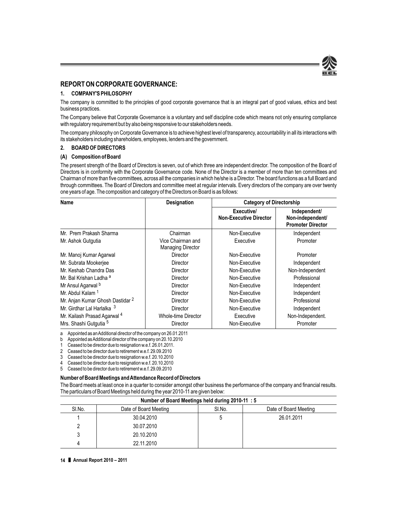

#### **REPORT ON CORPORATE GOVERNANCE:**

#### **1. COMPANY'S PHILOSOPHY**

The company is committed to the principles of good corporate governance that is an integral part of good values, ethics and best business practices.

The Company believe that Corporate Governance is a voluntary and self discipline code which means not only ensuring compliance with regulatory requirement but by also being responsive to our stakeholders needs.

The company philosophy on Corporate Governance is to achieve highest level of transparency, accountability in all its interactions with its stakeholders including shareholders, employees, lenders and the government.

#### **2. BOARD OF DIRECTORS**

#### **(A) Composition of Board**

The present strength of the Board of Directors is seven, out of which three are independent director. The composition of the Board of Directors is in conformity with the Corporate Governance code. None of the Director is a member of more than ten committees and Chairman of more than five committees, across all the companies in which he/she is a Director. The board functions as a full Board and through committees. The Board of Directors and committee meet at regular intervals. Every directors of the company are over twenty one years of age. The composition and category of the Directors on Board is as follows:

| Name                                    | <b>Designation</b>                            | <b>Category of Directorship</b>             |                                                              |  |
|-----------------------------------------|-----------------------------------------------|---------------------------------------------|--------------------------------------------------------------|--|
|                                         |                                               | Executive/<br><b>Non-Executive Director</b> | Independent/<br>Non-independent/<br><b>Promoter Director</b> |  |
| Mr. Prem Prakash Sharma                 | Chairman                                      | Non-Executive                               | Independent                                                  |  |
| Mr. Ashok Gutgutia                      | Vice Chairman and<br><b>Managing Director</b> | Executive                                   | Promoter                                                     |  |
| Mr. Manoj Kumar Agarwal                 | <b>Director</b>                               | Non-Executive                               | Promoter                                                     |  |
| Mr. Subrata Mookerjee                   | <b>Director</b>                               | Non-Executive                               | Independent                                                  |  |
| Mr. Keshab Chandra Das                  | <b>Director</b>                               | Non-Executive                               | Non-Independent                                              |  |
| Mr. Bal Krishan Ladha <sup>a</sup>      | <b>Director</b>                               | Non-Executive                               | Professional                                                 |  |
| Mr Ansul Agarwal <sup>b</sup>           | <b>Director</b>                               | Non-Executive                               | Independent                                                  |  |
| Mr. Abdul Kalam <sup>1</sup>            | Director                                      | Non-Executive                               | Independent                                                  |  |
| Mr. Anjan Kumar Ghosh Dastidar 2        | <b>Director</b>                               | Non-Executive                               | Professional                                                 |  |
| Mr. Girdhar Lal Harlalka <sup>3</sup>   | Director                                      | Non-Executive                               | Independent                                                  |  |
| Mr. Kailash Prasad Agarwal <sup>4</sup> | <b>Whole-time Director</b>                    | Executive                                   | Non-Independent.                                             |  |
| Mrs. Shashi Gutgutia <sup>5</sup>       | <b>Director</b>                               | Non-Executive                               | Promoter                                                     |  |

a Appointed as an Additional director of the company on 26.01.2011

b Appointed as Additional director of the company on 20.10.2010

1 Ceased to be director due to resignation w.e.f. 26.01.2011.

2 Ceased to be director due to retirement w.e.f. 29.09.2010

3 Ceased to be director due to resignation w.e.f. 20.10.2010

4 Ceased to be director due to resignation w.e.f. 20.10.2010

5 Ceased to be director due to retirement w.e.f. 29.09.2010

#### **Number of Board Meetings and Attendance Record of Directors**

The Board meets at least once in a quarter to consider amongst other business the performance of the company and financial results. The particulars of Board Meetings held during the year 2010-11 are given below:

| Number of Board Meetings held during 2010-11: 5 |                       |        |                       |  |  |
|-------------------------------------------------|-----------------------|--------|-----------------------|--|--|
| SI.No.                                          | Date of Board Meeting | SI.No. | Date of Board Meeting |  |  |
|                                                 | 30.04.2010            | .5     | 26.01.2011            |  |  |
|                                                 | 30.07.2010            |        |                       |  |  |
|                                                 | 20.10.2010            |        |                       |  |  |
|                                                 | 22.11.2010            |        |                       |  |  |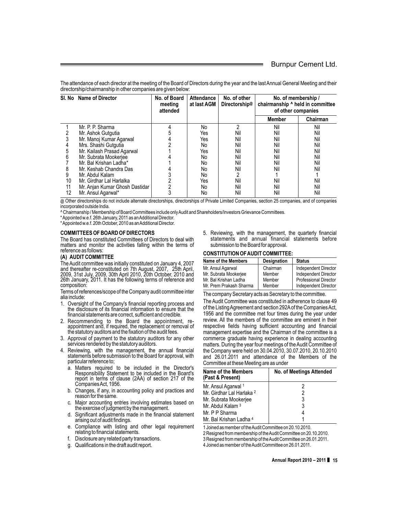The attendance of each director at the meeting of the Board of Directors during the year and the last Annual General Meeting and their directorship/chairmanship in other companies are given below:

| SI. No Name of Director |                                | No. of Board<br>meetina<br>attended | <b>Attendance</b><br>at last AGM | No. of other<br>Directorship <sup>@</sup> | No. of membership /<br>chairmanship ^ held in committee<br>of other companies |          |
|-------------------------|--------------------------------|-------------------------------------|----------------------------------|-------------------------------------------|-------------------------------------------------------------------------------|----------|
|                         |                                |                                     |                                  |                                           | Member                                                                        | Chairman |
|                         | Mr. P. P. Sharma               |                                     | No                               | 2                                         | Nil                                                                           | Nil      |
|                         | Mr. Ashok Gutgutia             |                                     | Yes                              | Nil                                       | Nil                                                                           | Nil      |
|                         | Mr. Manoj Kumar Agarwal        |                                     | Yes                              | Nil                                       | Nil                                                                           | Nil      |
|                         | Mrs. Shashi Gutgutia           |                                     | No                               | Nil                                       | Nil                                                                           | Nil      |
| 5                       | Mr. Kailash Prasad Agarwal     |                                     | Yes                              | Nil                                       | Nil                                                                           | Nil      |
| 6                       | Mr. Subrata Mookerjee          |                                     | No                               | Nil                                       | Nil                                                                           | Nil      |
|                         | Mr. Bal Krishan Ladha*         |                                     | No                               | Nil                                       | Nil                                                                           | Nil      |
| 8                       | Mr. Keshab Chandra Das         |                                     | No                               | Nil                                       | Nil                                                                           | Nil      |
| 9                       | Mr. Abdul Kalam                |                                     | No                               |                                           |                                                                               |          |
| 10                      | Mr. Girdhar Lal Harlalka       |                                     | Yes                              | Nil                                       | Nil                                                                           | Nil      |
| 11                      | Mr. Anjan Kumar Ghosh Dastidar |                                     | No                               | Nil                                       | Nil                                                                           | Nil      |
| 12                      | Mr. Ansul Agarwal*             |                                     | No                               | Nil                                       | Nil                                                                           | Nil      |

@ Other directorships do not include alternate directorships, directorships of Private Limited Companies, section 25 companies, and of companies incorporated outside India.

^ Chairmanship / Membership of Board Committees include only Audit and Shareholders/Investors Grievance Committees.

\*Appointed w.e.f. 26th January, 2011 as an Additional Director.

\*Appointed w.e.f. 20th October, 2010 as an Additional Director.

#### **COMMITTEES OF BOARD OF DIRECTORS**

The Board has constituted Committees of Directors to deal with matters and monitor the activities falling within the terms of reference as follows:

#### **(A) AUDIT COMMITTEE**

The Audit committee was initially constituted on January 4, 2007 and thereafter re-constituted on 7th August, 2007, 25th April, 2009, 31st July, 2009, 30th April 2010, 20th October, 2010 and 26th January, 2011. It has the following terms of reference and composition:

Terms of references/scope of the Company audit committee inter alia include:

- 1. Oversight of the Company's financial reporting process and the disclosure of its financial information to ensure that the financial statements are correct, sufficient and credible.
- 2. Recommending to the Board the appointment, re- appointment and, if required, the replacement or removal of the statutory auditors and the fixation of the audit fees.
- 3. Approval of payment to the statutory auditors for any other services rendered by the statutory auditors.
- 4. Reviewing, with the management, the annual financial statements before submission to the Board for approval, with
	- particular reference to;<br>a. Matters required to be included in the Director's Responsibility Statement to be included in the Board's report in terms of clause (2AA) of section 217 of the Companies Act, 1956.
	- b. Changes, if any, in accounting policy and practices and reason for the same.
	- c. Major accounting entries involving estimates based on the exercise of judgment by the management.
	- d. Significant adjustments made in the financial statement arising out of audit findings.
	- e. Compliance with listing and other legal requirement relating to financial statements.
	- f. Disclosure any related party transactions.
	- g. Qualifications in the draft audit report.

5. Reviewing, with the management, the quarterly financial statements and annual financial statements before submission to the Board for approval.

#### **CONSTITUTION OF AUDIT COMMITTEE:**

| <b>Name of the Members</b> | Designation | <b>Status</b>                |
|----------------------------|-------------|------------------------------|
| Mr. Ansul Agarwal          | Chairman    | <b>Independent Director</b>  |
| Mr. Subrata Mookerjee      | Member      | <b>Independent Director</b>  |
| Mr. Bal Krishan Ladha      | Member      | <b>Professional Director</b> |
| Mr. Prem Prakash Sharma    | Member      | Independent Director         |

The company Secretary acts as Secretary to the committee.

The Audit Committee was constituted in adherence to clause 49 of the Listing Agreement and section 292A of the Companies Act, 1956 and the committee met four times during the year under review. All the members of the committee are eminent in their respective fields having sufficient accounting and financial management expertise and the Chairman of the committee is a commerce graduate having experience in dealing accounting matters. During the year four meetings of the Audit Committee of the Company were held on 30.04.2010, 30.07.2010, 20.10.2010 and 26.01.2011 and attendance of the Members of the Committee at these Meeting are as under

| Name of the Members<br>(Past & Present) | No. of Meetings Attended |
|-----------------------------------------|--------------------------|
| Mr. Ansul Agarwal 1                     | 2                        |
| Mr. Girdhar Lal Harlaka <sup>2</sup>    | 2                        |
| Mr. Subrata Mookerjee                   | 3                        |
| Mr. Abdul Kalam 3                       | 3                        |
| Mr. P P Sharma                          | 4                        |
| Mr. Bal Krishan Ladha 4                 |                          |

1 Joined as member of the Audit Committee on 20.10.2010.

2 Resigned from membership of the Audit Committee on 20.10.2010.

3 Resigned from membership of the Audit Committee on 26.01.2011.

4 Joined as member of the Audit Committee on 26.01.2011.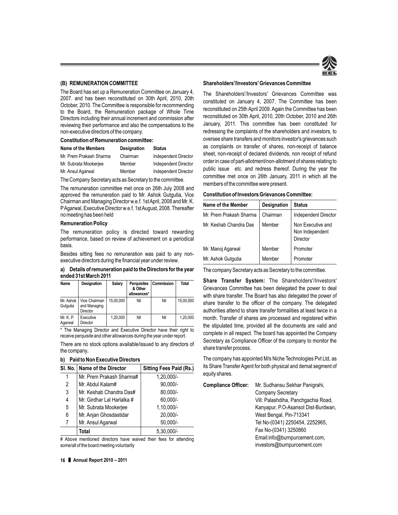#### **(B) REMUNERATION COMMITTEE**

The Board has set up a Remuneration Committee on January 4, 2007. and has been reconstituted on 30th April, 2010, 20th October, 2010. The Committee is responsible for recommending to the Board, the Remuneration package of Whole Time Directors including their annual increment and commission after reviewing their performance and also the compensations to the non-executive directors of the company.

#### **Constitution of Remuneration committee:**

| Name of the Members     | <b>Designation</b> | <b>Status</b>        |
|-------------------------|--------------------|----------------------|
| Mr. Prem Prakash Sharma | Chairman           | Independent Director |
| Mr. Subrata Mookerjee   | Member             | Independent Director |
| Mr. Ansul Agarwal       | Member             | Independent Director |

The Company Secretary acts as Secretary to the committee.

The remuneration committee met once on 26th July 2008 and approved the remuneration paid to Mr. Ashok Gutgutia, Vice Chairman and Managing Director w.e.f. 1st April, 2008 and Mr. K. PAgarwal, Executive Director w.e.f. 1st August, 2008. Thereafter no meeting has been held

#### **Remuneration Policy**

The remuneration policy is directed toward rewarding performance, based on review of achievement on a periodical basis.

Besides sitting fees no remuneration was paid to any nonexecutive directors during the financial year under review.

**a) Details of remuneration paid to the Directors for the year ended 31st March 2011**

| Name                  | <b>Designation</b>                        | Salary    | <b>Perquisites</b><br>& Other<br>allowances* | <b>Commission</b> | Total     |
|-----------------------|-------------------------------------------|-----------|----------------------------------------------|-------------------|-----------|
| Mr. Ashok<br>Gutgutia | Vice Chairman<br>and Managing<br>Director | 15.00.000 | Nil                                          | Nil               | 15.00.000 |
| Mr. K. P.<br>Agarwal  | Executive<br>Director                     | 1,20,000  | Nil                                          | Nil               | 1.20.000  |

\* The Managing Director and Executive Director have their right to receive perquisite and other allowances during the year under report.

There are no stock options available/issued to any directors of the company**.**

#### **b) Paid to Non Executive Directors**

|   | SI, No.   Name of the Director | <b>Sitting Fees Paid (Rs.)</b> |
|---|--------------------------------|--------------------------------|
|   | Mr. Prem Prakash Sharma#       | 1,20,000/-                     |
| 2 | Mr. Abdul Kalam#               | $90,000/-$                     |
| 3 | Mr. Keshab Chandra Das#        | 80,000/-                       |
| 4 | Mr. Girdhar Lal Harlalka #     | 60.000/-                       |
| 5 | Mr. Subrata Mookerjee          | 1,10,000/-                     |
| 6 | Mr. Anjan Ghosdastidar         | 20.000/-                       |
| 7 | Mr. Ansul Agarwal              | $50,000/-$                     |
|   | Total                          | $5,30,000/-$                   |

# Above mentioned directors have waived their fees for attending some/all of the board meeting voluntarily

#### **Shareholders'/Investors' Grievances Committee**

The Shareholders'/Investors' Grievances Committee was constituted on January 4, 2007. The Committee has been reconstituted on 25th April 2009. Again the Committee has been reconstituted on 30th April, 2010, 20th October, 2010 and 26th January, 2011. This committee has been constituted for redressing the complaints of the shareholders and investors, to oversee share transfers and monitors investor's grievances such as complaints on transfer of shares, non-receipt of balance sheet, non-receipt of declared dividends, non receipt of refund order in case of part-allotment/non-allotment of shares relating to public issue etc. and redress thereof. During the year the committee met once on 26th January, 2011 in which all the members of the committee were present.

| <b>Constitution of Investors Grievances Committee:</b> |  |  |
|--------------------------------------------------------|--|--|
|--------------------------------------------------------|--|--|

| Name of the Member      | <b>Designation</b> | <b>Status</b>                                           |
|-------------------------|--------------------|---------------------------------------------------------|
| Mr. Prem Prakash Sharma | Chairman           | Independent Director                                    |
| Mr. Keshab Chandra Das  | Member             | Non Executive and<br>Non Independent<br><b>Director</b> |
| Mr. Manoj Agarwal       | Member             | Promoter                                                |
| Mr. Ashok Gutgutia      | Member             | Promoter                                                |

The company Secretary acts as Secretary to the committee.

**Share Transfer System:** The Shareholders'/Investors' Grievances Committee has been delegated the power to deal with share transfer. The Board has also delegated the power of share transfer to the officer of the company. The delegated authorities attend to share transfer formalities at least twice in a month. Transfer of shares are processed and registered within the stipulated time, provided all the documents are valid and complete in all respect. The board has appointed the Company Secretary as Compliance Officer of the company to monitor the share transfer process.

The company has appointed M/s Niche Technologies Pvt Ltd, as its Share Transfer Agent for both physical and demat segment of equity shares.

**Compliance Officer:** Mr. Sudhansu Sekhar Panigrahi, Company Secretary Vill: Palashdiha, Panchgachia Road, Kanyapur, P.O-Asansol Dist-Burdwan, West Bengal, Pin-713341 Tel No-(0341) 2250454, 2252965, Fax No-(0341) 3250860 Email:info@burnpurcement.com, investors@burnpurcement.com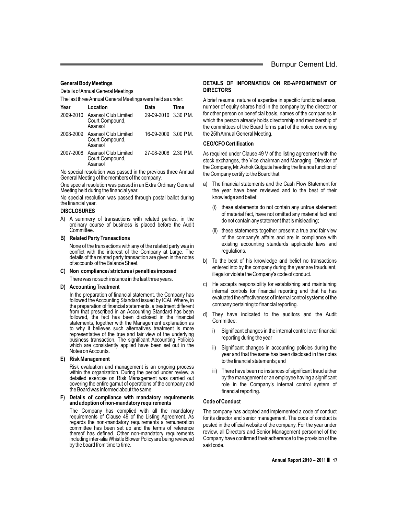#### **General Body Meetings**

Details of Annual General Meetings

The last three Annual General Meetings were held as under:

| Year      | Location                                                     | Date                 | Time |
|-----------|--------------------------------------------------------------|----------------------|------|
|           | 2009-2010 Asansol Club Limited<br>Court Compound,<br>Asansol | 29-09-2010 3.30 P.M. |      |
|           | 2008-2009 Asansol Club Limited<br>Court Compound,<br>Asansol | 16-09-2009 3.00 P.M. |      |
| 2007-2008 | Asansol Club Limited<br>Court Compound,<br>Asansol           | 27-08-2008 2.30 P.M. |      |

No special resolution was passed in the previous three Annual General Meeting of the members of the company.

One special resolution was passed in an Extra Ordinary General Meeting held during the financial year.

No special resolution was passed through postal ballot during the financial year.

#### **DISCLOSURES**

A) A summery of transactions with related parties, in the ordinary course of business is placed before the Audit Committee.

#### **B) Related Party Transactions**

None of the transactions with any of the related party was in conflict with the interest of the Company at Large. The details of the related party transaction are given in the notes of accounts of the Balance Sheet.

**C) Non compliance / strictures / penalties imposed**

There was no such instance in the last three years.

#### **D) Accounting Treatment**

In the preparation of financial statement, the Company has followed the Accounting Standard issued by ICAI. Where, in the preparation of financial statements, a treatment different from that prescribed in an Accounting Standard has been followed, the fact has been disclosed in the financial statements, together with the Management explanation as to why it believes such alternatives treatment is more representative of the true and fair view of the underlying business transaction. The significant Accounting Policies which are consistently applied have been set out in the Notes on Accounts.

#### **E) Risk Management**

Risk evaluation and management is an ongoing process within the organization. During the period under review, a detailed exercise on Risk Management was carried out covering the entire gamut of operations of the company and the Board was informed about the same.

**F) Details of compliance with mandatory requirements and adoption of non-mandatory requirements**

The Company has complied with all the mandatory requirements of Clause 49 of the Listing Agreement. As regards the non-mandatory requirements a remuneration committee has been set up and the terms of reference thereof has defined. Other non-mandatory requirements including inter-alia Whistle Blower Policy are being reviewed by the board from time to time.

#### **DETAILS OF INFORMATION ON RE-APPOINTMENT OF DIRECTORS**

A brief resume, nature of expertise in specific functional areas, number of equity shares held in the company by the director or for other person on beneficial basis, names of the companies in which the person already holds directorship and membership of the committees of the Board forms part of the notice convening the 25th Annual General Meeting.

#### **CEO/CFO Certification**

As required under Clause 49 V of the listing agreement with the stock exchanges, the Vice chairman and Managing Director of the Company, Mr.Ashok Gutgutia heading the finance function of the Company certify to the Board that:

- a) The financial statements and the Cash Flow Statement for the year have been reviewed and to the best of their knowledge and belief:
	- (i) these statements do not contain any untrue statement of material fact, have not omitted any material fact and do not contain any statement that is misleading;
	- (ii) these statements together present a true and fair view of the company's affairs and are in compliance with existing accounting standards applicable laws and regulations.
- b) To the best of his knowledge and belief no transactions entered into by the company during the year are fraudulent, illegal or violate the Company's code of conduct.
- c) He accepts responsibility for establishing and maintaining internal controls for financial reporting and that he has evaluated the effectiveness of internal control systems of the company pertaining to financial reporting.
- d) They have indicated to the auditors and the Audit Committee:
	- i) Significant changes in the internal control over financial reporting during the year
	- ii) Significant changes in accounting policies during the year and that the same has been disclosed in the notes to the financial statements; and
	- iii) There have been no instances of significant fraud either by the management or an employee having a significant role in the Company's internal control system of financial reporting.

#### **Code of Conduct**

The company has adopted and implemented a code of conduct for its director and senior management. The code of conduct is posted in the official website of the company. For the year under review, all Directors and Senior Management personnel of the Company have confirmed their adherence to the provision of the said code.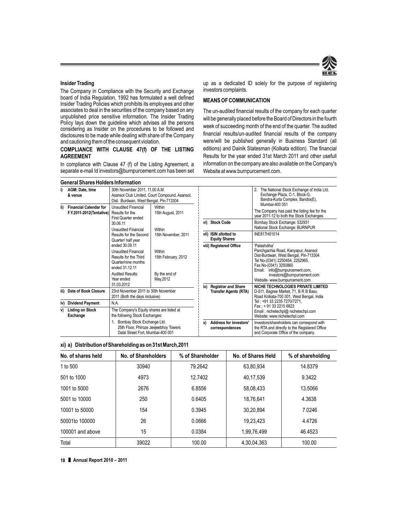

#### **Insider Trading**

The Company in Compliance with the Security and Exchange board of India Regulation, 1992 has formulated a well defined Insider Trading Policies which prohibits its employees and other associates to deal in the securities of the company based on any unpublished price sensitive information. The Insider Trading Policy lays down the guideline which advises all the persons considering as Insider on the procedures to be followed and disclosures to be made while dealing with share of the Company and cautioning them of the consequent violation.

#### **COMPLIANCE WITH CLAUSE 47(f) OF THE LISTING AGREEMENT**

In compliance with Clause 47 (f) of the Listing Agreement, a separate e-mail Id investors@burnpurcement.com has been set up as a dedicated ID solely for the purpose of registering investors complaints.

#### **MEANS OF COMMUNICATION**

The un-audited financial results of the company for each quarter will be generally placed before the Board of Directors in the fourth week of succeeding month of the end of the quarter. The audited financial results/un-audited financial results of the company were/will be published generally in Business Standard (all editions) and Dainik Statesman (Kolkata edition). The financial Results for the year ended 31st March 2011 and other usefull information on the company are also available on the Company's Website at www.burnpurcement.com.

|      | <b>General Shares Holders Information</b>                 |                                                                                                                                                                       |                                                             |                         |                                                            |                                                                                                                                                                                                                                                                |  |  |
|------|-----------------------------------------------------------|-----------------------------------------------------------------------------------------------------------------------------------------------------------------------|-------------------------------------------------------------|-------------------------|------------------------------------------------------------|----------------------------------------------------------------------------------------------------------------------------------------------------------------------------------------------------------------------------------------------------------------|--|--|
| i)   | AGM: Date, time<br>& venue                                | 30th November 2011, 11.00 A.M.<br>Dist. : Burdwan, West Bengal, Pin-713304                                                                                            | Asansol Club Limited, Court Compound, Asansol,              |                         |                                                            | 2. The National Stock Exchange of India Ltd.<br>Exchange Plaza, C-1, Block-G,<br>Bandra-Kurla Complex, Bandra(E),                                                                                                                                              |  |  |
| ii)  | <b>Financial Calendar for</b><br>F.Y.2011-2012(Tentative) | <b>Unaudited Financial</b><br>Results for the<br>First Quarter ended                                                                                                  | Within<br>15th August, 2011                                 |                         |                                                            | Mumbai-400 051<br>The Company has paid the listing fee for the<br>year 2011-12 to both the Stock Exchanges.                                                                                                                                                    |  |  |
|      |                                                           | 30.06.11<br><b>Unaudited Financial</b>                                                                                                                                | Within                                                      |                         | vi) Stock Code                                             | Bombay Stock Exchange: 532931<br>National Stock Exchange: BURNPUR                                                                                                                                                                                              |  |  |
|      |                                                           | Results for the Second<br>Quarter/half year                                                                                                                           | 15th November, 2011                                         |                         | vii) ISIN allotted to<br><b>Equity Shares</b>              | INE817H01014                                                                                                                                                                                                                                                   |  |  |
|      |                                                           | ended 30.09.11<br><b>Unaudited Financial</b><br>Results for the Third<br>Quarter/nine months<br>ended 31.12.11<br><b>Audited Results:</b><br>Year ended<br>31.03.2012 | Within<br>15th February, 2012<br>By the end of<br>May, 2012 | viii) Registered Office |                                                            | 'Palashdiha'<br>Panchgachia Road, Kanyapur, Asansol<br>Dist-Burdwan, West Bengal, Pin-713304<br>Tel No-(0341) 2250454, 2252965.<br>Fax No-(0341) 3250860<br>info@burnpurcement.com,<br>Email:<br>investors@burnpurcement.com<br>Website- www.burnpurcement.com |  |  |
| iii) | Date of Book Closure                                      | 23rd November 2011 to 30th November<br>2011 (Both the days inclusive)                                                                                                 |                                                             | ix)                     | <b>Registrar and Share</b><br><b>Transfer Agents (RTA)</b> | NICHE TECHNOLOGIES PRIVATE LIMITED<br>D-511, Bagree Market, 71, B R B Basu<br>Road Kolkata-700 001, West Bengal, India                                                                                                                                         |  |  |
| iv)  | <b>Dividend Payment</b>                                   | N.A.                                                                                                                                                                  |                                                             |                         |                                                            | Tel: +91 33 2235 7270/7271.<br>Fax: +91 33 2215 6823                                                                                                                                                                                                           |  |  |
| v)   | <b>Listing on Stock</b><br><b>Exchange</b>                | The Company's Equity shares are listed at<br>the following Stock Exchanges:                                                                                           |                                                             |                         |                                                            | Email: nichetechpl@ nichetechpl.com<br>Website: www.nichetechpl.com                                                                                                                                                                                            |  |  |
|      |                                                           | 1. Bombay Stock Exchange Ltd.<br>25th Floor, Phiroze Jeejeebhoy Towers<br>Dalal Street Fort, Mumbai-400 001                                                           |                                                             | x)                      | <b>Address for investors'</b><br>correspondences           | Investors/shareholders can correspond with<br>the RTA and directly to the Registered Office<br>and Corporate Office of the company.                                                                                                                            |  |  |

|  | xi) a) Distribution of Shareholding as on 31st March,2011 |  |
|--|-----------------------------------------------------------|--|
|--|-----------------------------------------------------------|--|

| No. of shares held | No. of Shareholders | % of Shareholder | No. of Shares Held | % of shareholding |
|--------------------|---------------------|------------------|--------------------|-------------------|
| 1 to 500           | 30940               | 79.2642          | 63,80,934          | 14.8379           |
| 501 to 1000        | 4973                | 12.7402          | 40,17,539          | 9.3422            |
| 1001 to 5000       | 2676                | 6.8556           | 58,08,433          | 13.5066           |
| 5001 to 10000      | 250                 | 0.6405           | 18,76,641          | 4.3638            |
| 10001 to 50000     | 154                 | 0.3945           | 30,20,894          | 7.0246            |
| 50001to 100000     | 26                  | 0.0666           | 19,23,423          | 4.4726            |
| 100001 and above   | 15                  | 0.0384           | 1,99,76,499        | 46.4523           |
| Total              | 39022               | 100.00           | 4,30,04,363        | 100.00            |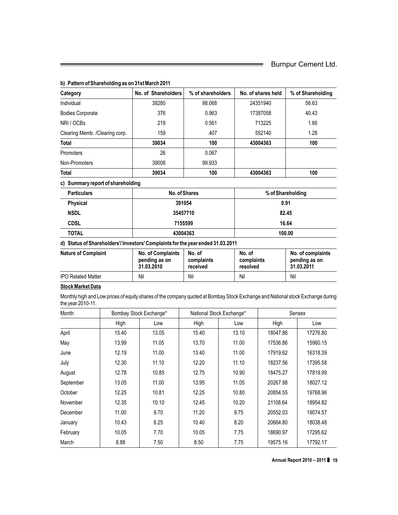| 98.068<br>0.963<br>0.561<br>.407<br>100<br>0.067<br>99.933                     | 24351940<br>17387058<br>713225<br>552140<br>43004363 | 56.63<br>40.43<br>1.66<br>1.28<br>100            |
|--------------------------------------------------------------------------------|------------------------------------------------------|--------------------------------------------------|
|                                                                                |                                                      |                                                  |
|                                                                                |                                                      |                                                  |
|                                                                                |                                                      |                                                  |
|                                                                                |                                                      |                                                  |
|                                                                                |                                                      |                                                  |
|                                                                                |                                                      |                                                  |
|                                                                                |                                                      |                                                  |
| 100                                                                            | 43004363                                             | 100                                              |
|                                                                                |                                                      |                                                  |
| No. of Shares                                                                  |                                                      | % of Shareholding                                |
|                                                                                |                                                      | 0.91                                             |
|                                                                                |                                                      | 82.45                                            |
|                                                                                |                                                      | 16.64                                            |
| 43004363                                                                       |                                                      | 100.00                                           |
| d) Status of Shareholders'/Investors' Complaints for the year ended 31.03.2011 |                                                      |                                                  |
| No. of                                                                         | No. of<br>complaints<br>resolved                     | No. of complaints<br>pending as on<br>31.03.2011 |
|                                                                                |                                                      | Nil                                              |
|                                                                                | complaints<br>received                               | Nil                                              |

#### **b) Pattern of Shareholding as on 31st March 2011**

Monthly high and Low prices of equity shares of the company quoted at Bombay Stock Exchange and National stock Exchange during the year 2010-11.

| Month     |       | Bombay Stock Exchange* | National Stock Exchange* |       |          | Sensex   |
|-----------|-------|------------------------|--------------------------|-------|----------|----------|
|           | High  | Low                    | High                     | Low   | High     | Low      |
| April     | 15.40 | 13.05                  | 15.40                    | 13.10 | 18047.86 | 17276.80 |
| May       | 13.99 | 11.05                  | 13.70                    | 11.00 | 17536.86 | 15960.15 |
| June      | 12.19 | 11.00                  | 13.40                    | 11.00 | 17919.62 | 16318.39 |
| July      | 12.30 | 11.10                  | 12.20                    | 11.10 | 18237.56 | 17395.58 |
| August    | 12.78 | 10.85                  | 12.75                    | 10.90 | 18475.27 | 17819.99 |
| September | 13.05 | 11.00                  | 13.95                    | 11.05 | 20267.98 | 18027.12 |
| October   | 12.25 | 10.81                  | 12.25                    | 10.80 | 20854.55 | 19768.96 |
| November  | 12.35 | 10.10                  | 12.45                    | 10.20 | 21108.64 | 18954.82 |
| December  | 11.00 | 9.70                   | 11.20                    | 9.75  | 20552.03 | 19074.57 |
| January   | 10.43 | 8.25                   | 10.40                    | 8.20  | 20664.80 | 18038.48 |
| February  | 10.05 | 7.70                   | 10.05                    | 7.75  | 18690.97 | 17295.62 |
| March     | 8.88  | 7.50                   | 8.50                     | 7.75  | 19575.16 | 17792.17 |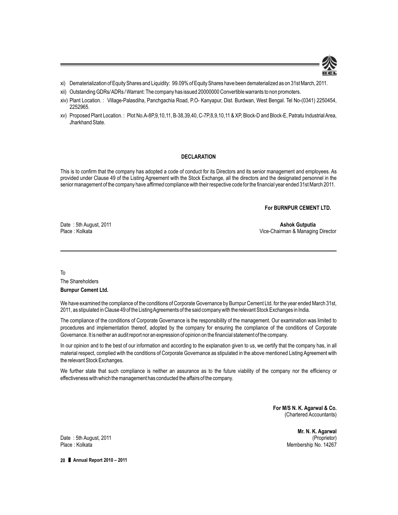

- xi) Dematerialization of Equity Shares and Liquidity: 99.09% of Equity Shares have been dematerialized as on 31st March, 2011.
- xii) Outstanding GDRs/ ADRs / Warrant: The company has issued 20000000 Convertible warrants to non promoters.
- xiv) Plant Location. : Village-Palasdiha, Panchgachia Road, P.O- Kanyapur, Dist. Burdwan, West Bengal. Tel No-(0341) 2250454, 2252965.
- xv) Proposed Plant Location. : Plot No.A-8P,9,10,11, B-38,39,40, C-7P,8,9,10,11 & XP, Block-D and Block-E, Patratu Industrial Area, Jharkhand State.

#### **DECLARATION**

This is to confirm that the company has adopted a code of conduct for its Directors and its senior management and employees. As provided under Clause 49 of the Listing Agreement with the Stock Exchange, all the directors and the designated personnel in the senior management of the company have *affirmed* compliance with their respective code for the financial year ended 31st March 2011.

**For BURNPUR CEMENT LTD.**

Date : 5th August, 2011 **Ashok Gutputia**

Vice-Chairman & Managing Director

To The Shareholders

**Burnpur Cement Ltd.**

We have examined the compliance of the conditions of Corporate Governance by Burnpur Cement Ltd. for the year ended March 31st, 2011, as stipulated in Clause 49 of the Listing Agreements of the said company with the relevant Stock Exchanges in India.

The compliance of the conditions of Corporate Governance is the responsibility of the management. Our examination was limited to procedures and implementation thereof, adopted by the company for ensuring the compliance of the conditions of Corporate Governance. It is neither an audit report nor an expression of opinion on the financial statement of the company.

In our opinion and to the best of our information and according to the explanation given to us, we certify that the company has, in all material respect, complied with the conditions of Corporate Governance as stipulated in the above mentioned Listing Agreement with the relevant Stock Exchanges.

We further state that such compliance is neither an assurance as to the future viability of the company nor the efficiency or effectiveness with which the management has conducted the affairs of the company.

> **For M/S N. K. Agarwal & Co.** (Chartered Accountants)

> > **Mr. N. K. Agarwal**<br>(Proprietor) Membership No. 14267

Date: 5th August, 2011<br>Place: Kolkata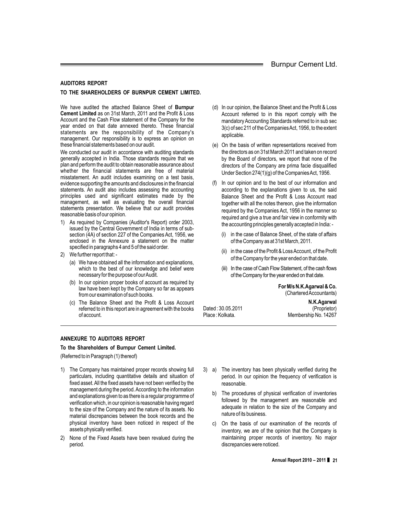#### **AUDITORS REPORT**

#### **TO THE SHAREHOLDERS OF BURNPUR CEMENT LIMITED.**

We have audited the attached Balance Sheet of **Burnpur Cement Limited** as on 31st March, 2011 and the Profit & Loss Account and the Cash Flow statement of the Company for the year ended on that date annexed thereto. These financial statements are the responsibility of the Company's management. Our responsibility is to express an opinion on these financial statements based on our audit.

We conducted our audit in accordance with auditing standards generally accepted in India. Those standards require that we plan and perform the audit to obtain reasonable assurance about whether the financial statements are free of material misstatement. An audit includes examining on a test basis, evidence supporting the amounts and disclosures in the financial statements. An audit also includes assessing the accounting principles used and significant estimates made by the management, as well as evaluating the overall financial statements presentation. We believe that our audit provides reasonable basis of our opinion.

- 1) As required by Companies (Auditor's Report) order 2003, issued by the Central Government of India in terms of subsection (4A) of section 227 of the Companies Act, 1956, we enclosed in the Annexure a statement on the matter specified in paragraphs 4 and 5 of the said order.
- 2) We further report that:
	- (a) We have obtained all the information and explanations, which to the best of our knowledge and belief were necessary for the purpose of our Audit.
	- (b) In our opinion proper books of account as required by law have been kept by the Company so far as appears from our examination of such books.
	- (c) The Balance Sheet and the Profit & Loss Account referred to in this report are in agreement with the books of account.
- (d) In our opinion, the Balance Sheet and the Profit & Loss Account referred to in this report comply with the mandatory Accounting Standards referred to in sub sec 3(c) of sec 211 of the Companies Act, 1956, to the extent applicable.
- (e) On the basis of written representations received from the directors as on 31st March 2011 and taken on record by the Board of directors, we report that none of the directors of the Company are prima facie disqualified Under Section 274(1)(g) of the Companies Act, 1956.
- (f) In our opinion and to the best of our information and according to the explanations given to us, the said Balance Sheet and the Profit & Loss Account read together with all the notes thereon, give the information required by the Companies Act, 1956 in the manner so required and give a true and fair view in conformity with the accounting principles generally accepted in India: -
	- (i) in the case of Balance Sheet, of the state of affairs of the Company as at 31st March, 2011.
	- (ii) in the case of the Profit & Loss Account, of the Profit of the Company for the year ended on that date.
	- (iii) In the case of Cash Flow Statement, of the cash flows of the Company for the year ended on that date.

**For M/s N.K.Agarwal & Co.** (Chartered Accountants)

**N.K.Agarwal** Dated : 30.05.2011 (Proprietor) Membership No. 14267

**ANNEXURE TO AUDITORS REPORT**

**To the Shareholders of Burnpur Cement Limited.**

(Referred to in Paragraph (1) thereof)

- 1) The Company has maintained proper records showing full particulars, including quantitative details and situation of fixed asset. All the fixed assets have not been verified by the management during the period. According to the information and explanations given to as there is a regular programme of verification which, in our opinion is reasonable having regard to the size of the Company and the nature of its assets. No material discrepancies between the book records and the physical inventory have been noticed in respect of the assets physically verified.
- 2) None of the Fixed Assets have been revalued during the period.
- 3) a) The inventory has been physically verified during the period. In our opinion the frequency of verification is reasonable.
	- b) The procedures of physical verification of inventories followed by the management are reasonable and adequate in relation to the size of the Company and nature of its business.
	- On the basis of our examination of the records of inventory, we are of the opinion that the Company is maintaining proper records of inventory. No major discrepancies were noticed.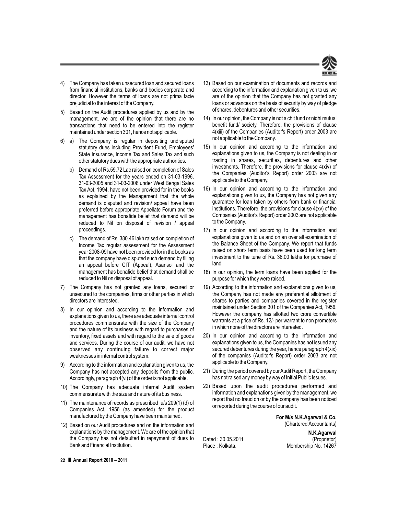

- 4) The Company has taken unsecured loan and secured loans from financial institutions, banks and bodies corporate and director. However the terms of loans are not prima facie prejudicial to the interest of the Company.
- 5) Based on the Audit procedures applied by us and by the management, we are of the opinion that there are no transactions that need to be entered into the register maintained under section 301, hence not applicable.
- 6) a) The Company is regular in depositing undisputed statutory dues including Provident Fund, Employees' State Insurance, Income Tax and Sales Tax and such other statutory dues with the appropriate authorities.
	- b) Demand of Rs.59.72 Lac raised on completion of Sales Tax Assessment for the years ended on 31-03-1996, 31-03-2005 and 31-03-2008 under West Bengal Sales Tax Act, 1994, have not been provided for in the books as explained by the Management that the whole demand is disputed and revision/ appeal have been preferred before appropriate Appellate Forum and the management has bonafide belief that demand will be reduced to Nil on disposal of revision / appeal proceedings.
	- c) The demand of Rs. 380.46 lakh raised on completion of Income Tax regular assessment for the Assessment year 2008-09 have not been provided for in the books as that the company have disputed such demand by filling an appeal before CIT (Appeal), Asansol and the management has bonafide belief that demand shall be reduced to Nil on disposal of appeal.
- 7) The Company has not granted any loans, secured or unsecured to the companies, firms or other parties in which directors are interested.
- 8) In our opinion and according to the information and explanations given to us, there are adequate internal control procedures commensurate with the size of the Company and the nature of its business with regard to purchases of inventory, fixed assets and with regard to the sale of goods and services. During the course of our audit, we have not observed any continuing failure to correct major weaknesses in internal control system.
- 9) According to the information and explanation given to us, the Company has not accepted any deposits from the public. Accordingly, paragraph 4(vi) of the order is not applicable.
- 10) The Company has adequate internal Audit system commensurate with the size and nature of its business.
- 11) The maintenance of records as prescribed u/s 209(1) (d) of Companies Act, 1956 (as amended) for the product manufactured by the Company have been maintained.
- 12) Based on our Audit procedures and on the information and explanations by the management. We are of the opinion that the Company has not defaulted in repayment of dues to Bank and Financial Institution.
- 13) Based on our examination of documents and records and according to the information and explanation given to us, we are of the opinion that the Company has not granted any loans or advances on the basis of security by way of pledge of shares, debentures and other securities.
- 14) In our opinion, the Company is not a chit fund or nidhi mutual benefit fund/ society. Therefore, the provisions of clause 4(xiii) of the Companies (Auditor's Report) order 2003 are not applicable to the Company.
- 15) In our opinion and according to the information and explanations given to us, the Company is not dealing in or trading in shares, securities, debentures and other investments. Therefore, the provisions for clause 4(xiv) of the Companies (Auditor's Report) order 2003 are not applicable to the Company.
- 16) In our opinion and according to the information and explanations given to us, the Company has not given any guarantee for loan taken by others from bank or financial institutions. Therefore, the provisions for clause 4(xv) of the Companies (Auditor's Report) order 2003 are not applicable to the Company.
- 17) In our opinion and according to the information and explanations given to us and on an over all examination of the Balance Sheet of the Company. We report that funds raised on short- term basis have been used for long term investment to the tune of Rs. 36.00 lakhs for purchase of land.
- 18) In our opinion, the term loans have been applied for the purpose for which they were raised.
- 19) According to the information and explanations given to us, the Company has not made any preferential allotment of shares to parties and companies covered in the register maintained under Section 301 of the Companies Act, 1956. However the company has allotted two crore convertible warrants at a price of Rs. 12/- per warrant to non promoters in which none of the directors are interested.
- 20) In our opinion and according to the information and explanations given to us, the Companies has not issued any secured debentures during the year, hence paragraph 4(xix) of the companies (Auditor's Report) order 2003 are not applicable to the Company.
- 21) During the period covered by our Audit Report, the Company has not raised any money by way of Initial Public Issues.
- 22) Based upon the audit procedures performed and information and explanations given by the management, we report that no fraud on or by the company has been noticed or reported during the course of our audit.

**For M/s N.K.Agarwal & Co.** (Chartered Accountants)

Dated : 30.05.2011<br>Place : Kolkata.

**N.K.Agarwal** Membership No. 14267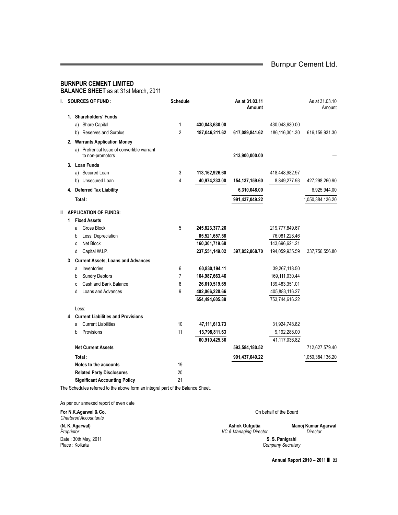$\equiv$ 

#### **BURNPUR CEMENT LIMITED BALANCE SHEET** as at 31st March, 2011

| I. |   | <b>SOURCES OF FUND:</b>                                         | <b>Schedule</b> |                | As at 31.03.11<br><b>Amount</b> |                  | As at 31.03.10<br>Amount |
|----|---|-----------------------------------------------------------------|-----------------|----------------|---------------------------------|------------------|--------------------------|
|    |   | 1. Shareholders' Funds                                          |                 |                |                                 |                  |                          |
|    |   | a) Share Capital                                                | 1               | 430,043,630.00 |                                 | 430,043,630.00   |                          |
|    |   | b) Reserves and Surplus                                         | $\overline{2}$  | 187,046,211.62 | 617,089,841.62                  | 186,116,301.30   | 616, 159, 931.30         |
|    |   | 2. Warrants Application Money                                   |                 |                |                                 |                  |                          |
|    |   | a) Prefrential Issue of convertible warrant<br>to non-promotors |                 |                | 213,900,000.00                  |                  |                          |
|    |   | 3. Loan Funds                                                   |                 |                |                                 |                  |                          |
|    |   | a) Secured Loan                                                 | 3               | 113,162,926.60 |                                 | 418,448,982.97   |                          |
|    |   | b) Unsecured Loan                                               | 4               | 40,974,233.00  | 154, 137, 159.60                | 8,849,277.93     | 427,298,260.90           |
|    |   | 4. Deferred Tax Liability                                       |                 |                | 6,310,048.00                    |                  | 6,925,944.00             |
|    |   | Total:                                                          |                 |                | 991,437,049.22                  |                  | 1,050,384,136.20         |
|    |   | <b>II APPLICATION OF FUNDS:</b>                                 |                 |                |                                 |                  |                          |
|    | 1 | <b>Fixed Assets</b>                                             |                 |                |                                 |                  |                          |
|    |   | <b>Gross Block</b><br>a                                         | 5               | 245,823,377.26 |                                 | 219,777,849.67   |                          |
|    |   | Less: Depreciation<br>b                                         |                 | 85,521,657.58  |                                 | 76,081,228.46    |                          |
|    |   | Net Block<br>C                                                  |                 | 160,301,719.68 |                                 | 143,696,621.21   |                          |
|    |   | Capital W.I.P.<br>d                                             |                 | 237,551,149.02 | 397,852,868.70                  | 194,059,935.59   | 337,756,556.80           |
|    | 3 | <b>Current Assets, Loans and Advances</b>                       |                 |                |                                 |                  |                          |
|    |   | Inventories<br>a                                                | 6               | 60,830,194.11  |                                 | 39,267,118.50    |                          |
|    |   | <b>Sundry Debtors</b><br>b                                      | 7               | 164,987,663.46 |                                 | 169, 111, 030.44 |                          |
|    |   | Cash and Bank Balance<br>C                                      | 8               | 26,610,519.65  |                                 | 139,483,351.01   |                          |
|    |   | Loans and Advances<br>d                                         | 9               | 402,066,228.66 |                                 | 405,883,116.27   |                          |
|    |   |                                                                 |                 | 654,494,605.88 |                                 | 753,744,616.22   |                          |
|    |   | Less:                                                           |                 |                |                                 |                  |                          |
|    | 4 | <b>Current Liabilities and Provisions</b>                       |                 |                |                                 |                  |                          |
|    |   | <b>Current Liabilities</b><br>a                                 | 10              | 47,111,613.73  |                                 | 31,924,748.82    |                          |
|    |   | Provisions<br>b                                                 | 11              | 13,798,811.63  |                                 | 9,192,288.00     |                          |
|    |   |                                                                 |                 | 60,910,425.36  |                                 | 41,117,036.82    |                          |
|    |   | <b>Net Current Assets</b>                                       |                 |                | 593,584,180.52                  |                  | 712,627,579.40           |
|    |   | Total:                                                          |                 |                | 991,437,049.22                  |                  | 1,050,384,136.20         |
|    |   | Notes to the accounts                                           | 19              |                |                                 |                  |                          |
|    |   | <b>Related Party Disclosures</b>                                | 20              |                |                                 |                  |                          |
|    |   | <b>Significant Accounting Policy</b>                            | 21              |                |                                 |                  |                          |

The Schedules referred to the above form an integral part of the Balance Sheet.

As per our annexed report of even date

**For N.K.Agarwal & Co.** On behalf of the Board *Chartered Accountants* **(N. K. Agarwal) Ashok Gutgutia Manoj Kumar Agarwal** *Proprietor VC & Managing Director Director* Date : 30th May, 2011 **S. S. Panigrahi**  $Company$  Secretary

**Annual Report 2010 – 2011** ❚ **23**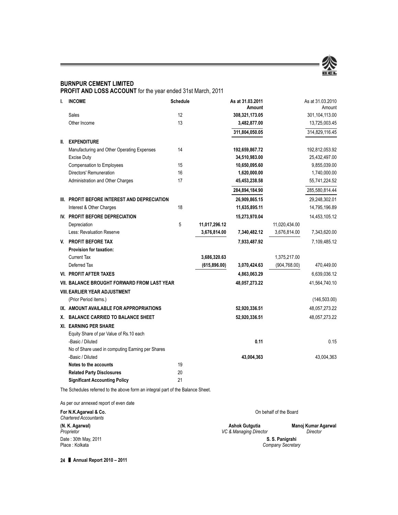

### **BURNPUR CEMENT LIMITED**

**PROFIT AND LOSS ACCOUNT** for the year ended 31st March, 2011

| I.    | <b>INCOME</b>                                    | <b>Schedule</b> |               | As at 31.03.2011<br>Amount |               | As at 31.03.2010<br>Amount |
|-------|--------------------------------------------------|-----------------|---------------|----------------------------|---------------|----------------------------|
|       | Sales                                            | 12              |               | 308,321,173.05             |               | 301,104,113.00             |
|       | Other Income                                     | 13              |               | 3,482,877.00               |               | 13,725,003.45              |
|       |                                                  |                 |               | 311,804,050.05             |               | 314,829,116.45             |
| II. – | <b>EXPENDITURE</b>                               |                 |               |                            |               |                            |
|       | Manufacturing and Other Operating Expenses       | 14              |               | 192,659,867.72             |               | 192,812,053.92             |
|       | <b>Excise Duty</b>                               |                 |               | 34,510,983.00              |               | 25,432,497.00              |
|       | <b>Compensation to Employees</b>                 | 15              |               | 10,650,095.60              |               | 9,855,039.00               |
|       | Directors' Remuneration                          | 16              |               | 1,620,000.00               |               | 1,740,000.00               |
|       | Administration and Other Charges                 | 17              |               | 45,453,238.58              |               | 55,741,224.52              |
|       |                                                  |                 |               | 284,894,184.90             |               | 285,580,814.44             |
|       | III. PROFIT BEFORE INTEREST AND DEPRECIATION     |                 |               | 26,909,865.15              |               | 29,248,302.01              |
|       | Interest & Other Charges                         | 18              |               | 11,635,895.11              |               | 14,795,196.89              |
|       | IV. PROFIT BEFORE DEPRECIATION                   |                 |               | 15,273,970.04              |               | 14,453,105.12              |
|       | Depreciation                                     | 5               | 11,017,296.12 |                            | 11,020,434.00 |                            |
|       | Less: Revaluation Reserve                        |                 | 3,676,814.00  | 7,340,482.12               | 3,676,814.00  | 7,343,620.00               |
|       | V. PROFIT BEFORE TAX                             |                 |               | 7,933,487.92               |               | 7,109,485.12               |
|       | <b>Provision for taxation:</b>                   |                 |               |                            |               |                            |
|       | <b>Current Tax</b>                               |                 | 3,686,320.63  |                            | 1,375,217.00  |                            |
|       | Deferred Tax                                     |                 | (615, 896.00) | 3,070,424.63               | (904, 768.00) | 470,449.00                 |
|       | <b>VI. PROFIT AFTER TAXES</b>                    |                 |               | 4,863,063.29               |               | 6,639,036.12               |
|       | VII. BALANCE BROUGHT FORWARD FROM LAST YEAR      |                 |               | 48,057,273.22              |               | 41,564,740.10              |
|       | <b>VIII. EARLIER YEAR ADJUSTMENT</b>             |                 |               |                            |               |                            |
|       | (Prior Period items.)                            |                 |               |                            |               | (146, 503.00)              |
|       | IX. AMOUNT AVAILABLE FOR APPROPRIATIONS          |                 |               | 52,920,336.51              |               | 48,057,273.22              |
|       | X. BALANCE CARRIED TO BALANCE SHEET              |                 |               | 52,920,336.51              |               | 48,057,273.22              |
|       | <b>XI. EARNING PER SHARE</b>                     |                 |               |                            |               |                            |
|       | Equity Share of par Value of Rs.10 each          |                 |               |                            |               |                            |
|       | -Basic / Diluted                                 |                 |               | 0.11                       |               | 0.15                       |
|       | No of Share used in computing Earning per Shares |                 |               |                            |               |                            |
|       | -Basic / Diluted                                 |                 |               | 43,004,363                 |               | 43,004,363                 |
|       | Notes to the accounts                            | 19              |               |                            |               |                            |
|       | <b>Related Party Disclosures</b>                 | 20              |               |                            |               |                            |
|       | <b>Significant Accounting Policy</b>             | 21              |               |                            |               |                            |

The Schedules referred to the above form an integral part of the Balance Sheet.

As per our annexed report of even date

| Ashok Gutgutia                                          | Manoj Kumar Agarwal    |
|---------------------------------------------------------|------------------------|
| <b>Director</b><br>S. S. Panigrahi<br>Company Secretary |                        |
|                                                         | VC & Managing Director |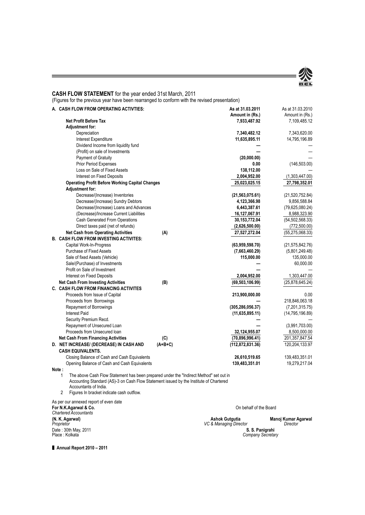

#### **CASH FLOW STATEMENT** for the year ended 31st March, 2011

(Figures for the previous year have been rearranged to conform with the revised presentation)

| A. CASH FLOW FROM OPERATING ACTIVTIES:                                                      | As at 31.03.2011<br>Amount in (Rs.) | As at 31.03.2010<br>Amount in (Rs.) |
|---------------------------------------------------------------------------------------------|-------------------------------------|-------------------------------------|
| <b>Net Profit Before Tax</b>                                                                | 7,933,487.92                        | 7,109,485.12                        |
| <b>Adjustment for:</b>                                                                      |                                     |                                     |
| Depreciation                                                                                | 7,340,482.12                        | 7,343,620.00                        |
| Interest Expenditure                                                                        | 11,635,895.11                       | 14,795,196.89                       |
| Dividend Income from liquidity fund                                                         |                                     |                                     |
| (Profit) on sale of Investments                                                             |                                     |                                     |
| Payment of Gratuity                                                                         | (20,000.00)                         |                                     |
| Prior Period Expenses                                                                       | 0.00                                | (146, 503.00)                       |
| Loss on Sale of Fixed Assets                                                                | 138,112.00                          |                                     |
| Interest on Fixed Deposits                                                                  | 2,004,952.00                        | (1,303,447.00)                      |
| <b>Operating Profit Before Working Capital Changes</b>                                      | 25,023,025.15                       | 27,798,352.01                       |
| <b>Adjustment for:</b>                                                                      |                                     |                                     |
| Decrease/(Increase) Inventories                                                             | (21, 563, 075.61)                   | (21,520,752.84)                     |
| Decrease/(Increase) Sundry Debtors                                                          | 4,123,366.98                        | 9,856,588.84                        |
| Decrease/(Increase) Loans and Advances                                                      | 6,443,387.61                        | (79, 625, 080.24)                   |
| (Decrease)/Increase Current Liabilities                                                     | 16,127,067.91                       | 8,988,323.90                        |
| Cash Generated From Operations                                                              | 30, 153, 772.04                     | (54, 502, 568.33)                   |
| Direct taxes paid (net of refunds)                                                          | (2,626,500.00)                      | (772, 500.00)                       |
| <b>Net Cash from Operating Activities</b>                                                   | (A)<br>27,527,272.04                | (55, 275, 068.33)                   |
| <b>B. CASH FLOW FROM INVESTING ACTIVITES:</b>                                               |                                     |                                     |
| Capital Work-In-Progress                                                                    | (63,959,598.70)                     | (21, 575, 842.76)                   |
| <b>Purchase of Fixed Assets</b>                                                             | (7,663,460.29)                      | (5,801,249.48)                      |
| Sale of fixed Assets (Vehicle)                                                              | 115,000.00                          | 135,000.00                          |
| Sale/(Purchase) of Investments                                                              |                                     | 60,000.00                           |
| Profit on Sale of Investment                                                                |                                     |                                     |
| Interest on Fixed Deposits                                                                  | 2,004,952.00                        | 1,303,447.00                        |
| <b>Net Cash From Investing Activities</b>                                                   | (B)<br>(69, 503, 106.99)            | (25,878,645.24)                     |
| <b>C. CASH FLOW FROM FINANCING ACTIVITES</b>                                                |                                     |                                     |
| Proceeds from Issue of Capital                                                              | 213,900,000.00                      | 0.00                                |
| Proceeds from Borrowings                                                                    |                                     | 218,846,063.18                      |
| Repayment of Borrowings                                                                     | (305, 286, 056.37)                  | (7,201,315.75)                      |
| <b>Interest Paid</b>                                                                        | (11, 635, 895.11)                   | (14, 795, 196.89)                   |
| Security Premium Recd.                                                                      |                                     |                                     |
| Repayment of Unsecured Loan                                                                 |                                     | (3,991,703.00)                      |
| Proceeds from Unsecured Ioan                                                                | 32,124,955.07                       | 8,500,000.00                        |
| <b>Net Cash From Financing Activities</b>                                                   | (C)<br>(70, 896, 996.41)            | 201,357,847.54                      |
| D. NET INCREASE/ (DECREASE) IN CASH AND                                                     | $(A+B+C)$<br>(112, 872, 831.36)     | 120,204,133.97                      |
| <b>CASH EQUIVALENTS.</b>                                                                    |                                     |                                     |
| Closing Balance of Cash and Cash Equivalents                                                | 26,610,519.65                       | 139,483,351.01                      |
| Opening Balance of Cash and Cash Equivalents                                                | 139,483,351.01                      | 19,279,217.04                       |
| Note:                                                                                       |                                     |                                     |
| 1<br>The above Cash Flow Statement has been prepared under the "Indirect Method" set out in |                                     |                                     |

Accounting Standard (AS)-3 on Cash Flow Statement issued by the Institute of Chartered Accountants of India.

2 Figures In bracket indicate cash outflow.

As per our annexed report of even date

**For N.K.Agarwal & Co.** On behalf of the Board *Chartered Accountants*

### **(N. K. Agarwal) Ashok Gutgutia Manoj Kumar Agarwal** *Proprietor* **S. S. Panigrahi**<br>**Company Secretary** Company Secretary Date : 30th May, 2011 **S. S. Panigrahi** Place : Kolkata *Company Secretary*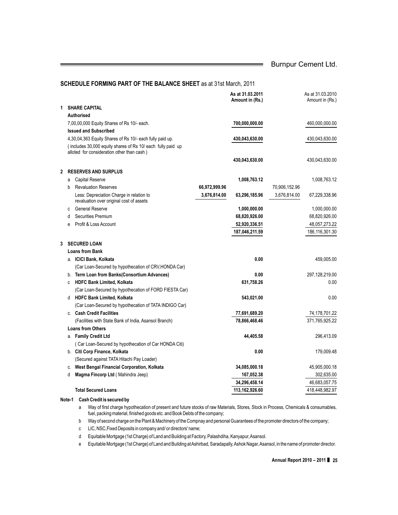$\equiv$ 

#### **SCHEDULE FORMING PART OF THE BALANCE SHEET** as at 31st March, 2011

|    |   |                                                             |               | As at 31.03.2011<br>Amount in (Rs.) |               | As at 31.03.2010<br>Amount in (Rs.) |
|----|---|-------------------------------------------------------------|---------------|-------------------------------------|---------------|-------------------------------------|
| 1. |   | <b>SHARE CAPITAL</b>                                        |               |                                     |               |                                     |
|    |   | Authorised                                                  |               |                                     |               |                                     |
|    |   | 7,00,00,000 Equity Shares of Rs 10/- each.                  |               | 700,000,000.00                      |               | 460,000,000.00                      |
|    |   | <b>Issued and Subscribed</b>                                |               |                                     |               |                                     |
|    |   | 4,30,04,363 Equity Shares of Rs 10/- each fully paid up.    |               | 430,043,630.00                      |               | 430,043,630.00                      |
|    |   | (includes 30,000 equity shares of Rs 10/ each fully paid up |               |                                     |               |                                     |
|    |   | alloted for consideration other than cash)                  |               |                                     |               |                                     |
|    |   |                                                             |               | 430,043,630.00                      |               | 430,043,630.00                      |
| 2  |   | <b>RESERVES AND SURPLUS</b>                                 |               |                                     |               |                                     |
|    | a | <b>Capital Reserve</b>                                      |               | 1,008,763.12                        |               | 1,008,763.12                        |
|    | b | <b>Revaluation Reserves</b>                                 | 66,972,999.96 |                                     | 70,906,152.96 |                                     |
|    |   | Less: Depreciation Charge in relation to                    | 3,676,814.00  | 63,296,185.96                       | 3,676,814.00  | 67,229,338.96                       |
|    |   | revaluation over original cost of assets                    |               |                                     |               |                                     |
|    | C | <b>General Reserve</b>                                      |               | 1,000,000.00                        |               | 1,000,000.00                        |
|    | d | <b>Securities Premium</b>                                   |               | 68,820,926.00                       |               | 68,820,926.00                       |
|    | e | Profit & Loss Account                                       |               | 52,920,336.51                       |               | 48,057,273.22                       |
|    |   |                                                             |               | 187,046,211.59                      |               | 186,116,301.30                      |
| 3  |   | <b>SECURED LOAN</b>                                         |               |                                     |               |                                     |
|    |   | <b>Loans from Bank</b>                                      |               |                                     |               |                                     |
|    |   | a. ICICI Bank, Kolkata                                      |               | 0.00                                |               | 459,005.00                          |
|    |   | (Car Loan-Secured by hypothecation of CRV, HONDA Car)       |               |                                     |               |                                     |
|    |   | b. Term Loan from Banks(Consortium Advances)                |               | 0.00                                |               | 297,128,219.00                      |
|    | C | <b>HDFC Bank Limited, Kolkata</b>                           |               | 631,758.26                          |               | 0.00                                |
|    |   | (Car Loan-Secured by hypothecation of FORD FIESTA Car)      |               |                                     |               |                                     |
|    |   | d HDFC Bank Limited, Kolkata                                |               | 543,021.00                          |               | 0.00                                |
|    |   | (Car Loan-Secured by hypothecation of TATA INDIGO Car)      |               |                                     |               |                                     |
|    |   | c. Cash Credit Facilities                                   |               | 77,691,689.20                       |               | 74,178,701.22                       |
|    |   | (Facilities with State Bank of India, Asansol Branch)       |               | 78,866,468.46                       |               | 371,765,925.22                      |
|    |   | <b>Loans from Others</b>                                    |               |                                     |               |                                     |
|    |   | a. Family Credit Ltd                                        |               | 44,405.58                           |               | 296,413.09                          |
|    |   | (Car Loan-Secured by hypothecation of Car HONDA Citi)       |               |                                     |               |                                     |
|    |   | b. Citi Corp Finance, Kolkata                               |               | 0.00                                |               | 179,009.48                          |
|    |   | (Secured against TATA Hitachi Pay Loader)                   |               |                                     |               |                                     |
|    |   | c. West Bengal Financial Corporation, Kolkata               |               | 34,085,000.18                       |               | 45,905,000.18                       |
|    | d | Magma Fincorp Ltd (Mahindra Jeep)                           |               | 167,052.38                          |               | 302,635.00                          |
|    |   |                                                             |               | 34,296,458.14                       |               | 46,683,057.75                       |
|    |   | <b>Total Secured Loans</b>                                  |               | 113,162,926.60                      |               | 418,448,982.97                      |

#### **Note-1 Cash Credit is secured by**

- a Way of first charge hypothecation of present and future stocks of raw Materials, Stores, Stock in Process, Chemicals & consumables, fuel, packing material, finished goods etc. and Book Debts of the company;
- b Way of second charge on the Plant & Machinery of the Compnay and personal Guarantees of the promoter directors of the company;
- c LIC, NSC,Fixed Deposits in company and/ or directors' name;
- d Equitable Mortgage (1st Charge) of Land and Building at Factory, Palashdiha, Kanyapur,Asansol.
- e Equitable Mortgage (1st Charge) of Land and Building at Ashirbad, Saradapally,Ashok Nagar,Asansol, in the name of promoter director.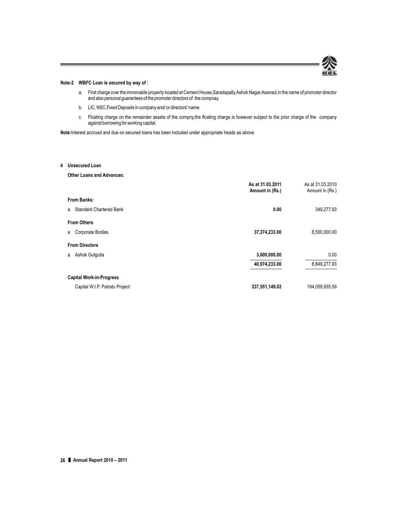

#### **Note-2 WBFC Loan is secured by way of :**

- a. First charge over the immovable property located at Cement House,Saradapally,Ashok Nagar,Asansol,in the name of promoter director and also personal guarantees of the promoter directors of the compnay.
- b. LIC, NSC,Fixed Deposits in company and/ or directors' name.
- c. Floating charge on the remainder assets of the compny,the floating charge is however subject to the prior charge of the company against borrowing for working capital.

**Note:**Interest accrued and due on secured loans has been included under appropriate heads as above.

#### **4 Unsecured Loan**

**Other Loans and Advances:**

|                                     | As at 31.03.2011<br>Amount in (Rs.) | As at 31.03.2010<br>Amount in (Rs.) |
|-------------------------------------|-------------------------------------|-------------------------------------|
| From Banks:                         |                                     |                                     |
| <b>Standard Chartered Bank</b><br>a | 0.00                                | 349,277.93                          |
| <b>From Others</b>                  |                                     |                                     |
| <b>Corporate Bodies</b><br>a        | 37,374,233.00                       | 8,500,000.00                        |
| <b>From Directors</b>               |                                     |                                     |
| Ashok Gutgutia<br>a                 | 3,600,000.00                        | 0.00                                |
|                                     | 40,974,233.00                       | 8,849,277.93                        |
| <b>Capital Work-in-Progress</b>     |                                     |                                     |
| Capital W.I.P. Patratu Project      | 237,551,149.02                      | 194,059,935.59                      |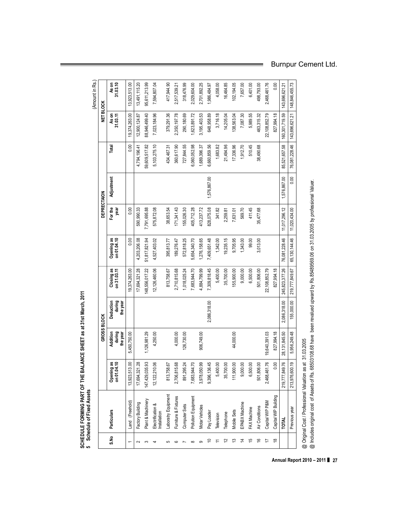(Amount in Rs.) (Amount in Rs. As on<br>31.03.10 0.00 13,923,513.00 13,491,115.20 95,611,213.99 7,594,807.04 417,944.90 318,476.99 2,029,604.00 2,701,892.25 1,986,484.97 4,058.00 16,464.85 102, 194.05 7,657.00 6,401.00 498,793.00 2,468,461.76 143,696,621.21 148,846,455.73 usong Particle Particle Particle Particle Particle Decision as the particle Decision Decision of Decision of Decision of Decision of Decision of Decision of Decision of Decision of Decision of Decision of Decision of Decis **on 01.04.10 during during on 31.03.11 on 01.04.10 year 31.03.11 31.03.10** 1 Land (Freehold) 13,923,513.00 5,450,750,8374,263.00 19,00 19,000 19,000 0.00 0.00 0.00 19,450,750,000 13,923,513.00 19,923,513.00 19,923,513.00 19,923,513.00 19,000 19,000 19,000 19,000 19,000 19,000 19,000 19,000 19,000 2 Factory Building 17,994,1964,11,694,11694,1995.08 590,906,090,090,090.34 4,203 4,203,212,321,203 17,694,115.20 17,694,115.20 17,694,371,1594,111,094,1115.20 17,694,371,12,94,111,094,111,094,111,094,111,094,1115.20 17,694 3 Plant & Machinery 147,429,035.93 1,126,981.29 148,556,017.22 51,817,821.94 7,791,695.88 59,609,517.82 88,946,499.40 95,611,213.99 4 Electrification & 12,122,210.06 | 12,122,210.06 | 12,126,460.06 | 12,126,460.06 | 5,15,872.08 | 5,15,872.08 | 5,103,275.10 | 7,023,184.96 | 7,594,807.04 5 Laboratry Equipment Laboratry Equipment Laboratry Equipment Laboratry States of the States of States and the Laboratry Equipment Laboratry Equipment Laboratry Equipment Laboratry Equipment Laboratry Equipment Laboratry E 2,517,539.21 7 Computer Sets 891,294.589 | Sets 891,295.24 | 126,026,026,026,026,026.25 | 126,2518.25 | 290,000 | 318,500 | 318,47.50 | 318,47.59 | 318,47.69 | 318,47.69 | 318,47.59 | 318,47.69 | 318,47.69 | 318,47.59 | 318,47.59 | 318 8 Pollution Equipment | 2,683,944.70 7,683,944.70 7,683,944.70 | 2,044.70 | 2,684,340.70 | 2,623,891.72 | 2,029,891.72 | 2,029,891.72 | 2,029,891.72 | 2,029,8944.70 | 2,029,8944.70 | 2,029,891.72 | 2,029,894.72 | 2,029,894 9 Motar Vehicles 1,978,050.000,99 1,892,797,12 1,276,158.65 413,276,158.65 413,237.72 1,276,198,25 1,397,237.72 1,392.25 1,397,297 1,392.25 1,01,892.25 1,270,1892.25 10 Pay Loader 19,986,136.4845 1,589,518.00 7,409,651.48 828,075.08 1,58.00,76.08 1,576,660,860,860,860,860,869,89 1,986,484.97<br>| Pay Loader 19,986,1956,195 11 Television 5,400.000 5,400.00 1,342.00 5,400 5,400 5,400 5,400 1,342.00 1,682.00 3,410.00 1,683.82 3,716.18 4,058.00 4,058.00 4,058.00 1,058.00 4,058.00 1,058.00 1,058.00 1,058.00 1,058.00 1,058.00 1,058.00 1,058.00 1,0 12 Telephone 35,75,74 Telephone 35,700.00 19,235,700.00 19,235.25 19,250.05 19,205.05 15,200.04 16,200.04 16,205.04 16,200.04 16,200.04 16,200.04 16,200.04 16,200.04 16,200.04 16,200.04 16,200.04 16,200.04 16,200.04 16,20 13 Mobile Sets 111,900.00 44,000.00 155,900.00 9,705.95 7,631.01 17,336.96 138,563.04 102,194.05 00.0001 N92K20X20X20X20X20X20X20 1,0000 0,0000 1,00000000 1,0000000 1,0000000 1,000 1,000000 1,091.00 1,091.00<br>1912.000 1,000 1,000 1,000 569.70 7,000 1,000000 1,0000000 1,0000000 1,0000000 1,000000 1,000000 1,000000 1,00 15 FAX Machine 6,500.00 6,500.00 6,500.00 6,500.00 6,500.00 6,500.00 6,500.00 500.00 411.45 510.45 510.45 510.45 6,989.55 6,401.00 16 Air Conditions 501,806.00 501,806.00 3,013.00 35,477.68 38,490.68 463,315.32 498,793.00 19,498,461.0 22,108,852.79 | 2,468,461.76 | 22,108,852.79 | 22,108,852.79 | 22,108,852.79 | 22,108,951.76 | 2, 18 Capital WIP Building 0.00 827,994.18 827,994.18 827,994.18 0.00 Previous year 213,976,600.19 13,956,249.48 155,000.00 155,000.144.46 11,020,434.00 176,030,430 76,081,228.46 148,694,621.21 148,455.73 6 Furniture&Fixtures | 2,706,815.68 | 2,706,815.68 | 2,710,815.68 | 2,710,815.68 | 2,710,81216.47 | 171,341.43 | 171,43 | 360,617.59 | 2,517,539.218 | 2,517,539.21 **TOTAL** 219,777,849.76 28,131,845.50 2,086,318.00 245,823,377.26 76,081,228.46 11,017,296.12 1,576,867.00 85,521,657.58 160,301,719.59 143,696,621.21 **NET BLOCK GROSS BLOCK DEPRECTAION NET BLOCK** As on<br>31.03.11 3,716.18 160,301,719.59 143,696,621.21 19,374,263.00 379,291.36 22,108,852.79 827,994.18 12,900,124.87 88,946,499.40 7,023,184.96 2,350,197.78 290, 180.69 1,623,891.72 3, 195, 403.53 648,958.89 14,205.04 138,563.04 7,087.30 5,989.55 463,315.32  $0.00$ 76,081,228.46 59,609,517.82 727,844.55 21,494.96 1,912.70 510.45 85,521,657.58 Total 4,794,196.41 5, 103, 275.10 434,467.31 360,617.90 3,060,052.98 6,660,859.56 1,683.82 17,336.96 1,689,396.37 88,490.68  $\frac{1}{20}$ 1,576,867.00 Adjustment 1,576,867.00 DEPRECTAION For the<br>year 341.82  $0.00$ 7,791,695.88 575,872.08 155,026.30 828,075.08 2,259.81 7,631.01 569.70 411.45 11,017,296.12  $11,020,434.00$ 590,990.33 38,653.54  $171,341.43$ 405,712.28 413,237.72 35,477.68 Opening as<br>on 01.04.10 1,342.00 19,235.15 65, 130, 144.46  $0.00$ 99.00 3,013.00 76,081,228.46 5,654,340.70 1,276,158.65 1,409,651.48 9,705.95 1,343.00 4,203,206.08 51,817,821.94 4,527,403.02 395,813.77 189,276.47 572,818.25  $Closing as  
on 31.03.11$ 5,400.00 35,700.00 17,694,321.28 148,556,017.22 12,126,460.06 9,000.00 6,500.00 501,806.00 245,823,377.26 219,777,849.67 19,374,263.00 813,758.67 2,710,815.68 1,018,025.24 7,683,944.70 4,884,799.99 7,309,818.45 55,900.00 22,108,852.79 827,994.18 Deduction<br>during<br>the year 2,086,318.00  $155,000.00$ **the year the year** 2,086,318.00 GROSS BLOCK Addition<br>during<br>the year 4,250.00 28,131,845.50 5,450,750.00 1,126,981.29 4,000.00 126,730.00 19,640,391.03 827,994.18 5,956,249.48 906,749.00 44,000.00 Opening as<br>on 01.04.10 501,806.00 5,400.00 35,700.00 111,900.00 9,000.00 1,468,461.76  $0.00$ 213,976,600.19 13,923,513.00 17,694,321.28 147,429,035.93 12,122,210.06 2,706,815.68 8,978,050.99 219,777,849.76 813,758.67 891,295.24 ,683,944.70 9,396,136.45 6,500.00 Laboratry Equipment Capital WIP Building Pollution Equipment Furniture & Fixtures Plant & Machinery Capital WIP P&M Land (Freehold) Factory Building EPABX Machine Electrification & Computer Sets Motar Vehicles Air Conditions FAX Machine Previous year Particulars Pay Loader Mobile Sets Installation **Telephone** Television **TOTAL** S.No  $\tilde{\mathcal{L}}$  $\overleftrightarrow{c}$   $\overleftrightarrow{c}$  $\tilde{\mathcal{F}}$ 15  $\overline{9}$  $\overline{r}$  $\frac{8}{2}$  $\circ$  $\equiv$  $\sim$ က  $\overline{a}$  $\infty$ 5  $\circ$  $\sim$ 

SCHEDULE FORMING PART OF THE BALANCE SHEET as at 31st March, 2011

SCHEDULE FORMING PART OF THE BALANCE SHEET as at 31st March, 2011

**5 Schedule of Fixed Assets**

5 Schedule of Fixed Assets

@ Original Cost / Professional Valuation as at 31.03.2005 @ Original Cost / Professional Valuation as at 31.03.2005

@ Includes original cost of Assets of Rs. 68503108.68 have been revalued upward by Rs.85489569.06 on 31.03.2005 by professional Valuer. @ Includes original cost of Assets of Rs. 68503108.68 have been revalued upward by Rs.85489569.06 on 31.03.2005 by professional Valuer.

#### Burnpur Cement Ltd.

**Annual Report 2010 – 2011** ❚ **27**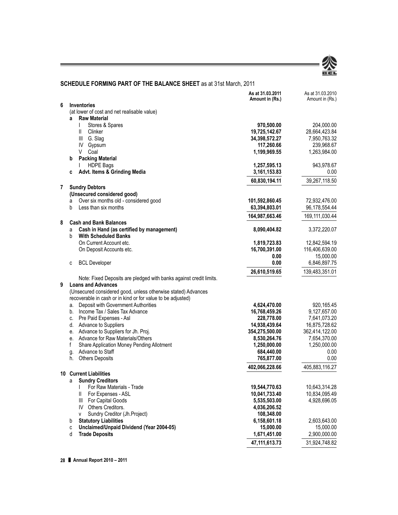

### **SCHEDULE FORMING PART OF THE BALANCE SHEET** as at 31st March, 2011

|   |                                                                                                                              | As at 31.03.2011<br>Amount in (Rs.) | As at 31.03.2010<br>Amount in (Rs.) |
|---|------------------------------------------------------------------------------------------------------------------------------|-------------------------------------|-------------------------------------|
| 6 | Inventories                                                                                                                  |                                     |                                     |
|   | (at lower of cost and net realisable value)                                                                                  |                                     |                                     |
|   | <b>Raw Material</b><br>a                                                                                                     |                                     |                                     |
|   | T<br>Stores & Spares                                                                                                         | 970,500.00                          | 204,000.00                          |
|   | Ш.<br>Clinker                                                                                                                | 19,725,142.67                       | 28,664,423.84                       |
|   | Ш<br>G. Slag                                                                                                                 | 34,398,572.27                       | 7,950,763.32                        |
|   | IV<br>Gypsum                                                                                                                 | 117,260.66                          | 239,968.67                          |
|   | V<br>Coal                                                                                                                    | 1,199,969.55                        | 1,263,984.00                        |
|   | <b>Packing Material</b><br>b                                                                                                 |                                     |                                     |
|   | <b>HDPE Bags</b>                                                                                                             | 1,257,595.13                        | 943,978.67                          |
|   | Advt. Items & Grinding Media<br>c                                                                                            | 3,161,153.83                        | 0.00                                |
|   |                                                                                                                              | 60,830,194.11                       | 39,267,118.50                       |
| 7 | <b>Sundry Debtors</b>                                                                                                        |                                     |                                     |
|   | (Unsecured considered good)                                                                                                  |                                     |                                     |
|   | Over six months old - considered good<br>a                                                                                   | 101,592,860.45                      | 72,932,476.00                       |
|   | b<br>Less than six months                                                                                                    | 63,394,803.01                       | 96,178,554.44                       |
|   |                                                                                                                              | 164,987,663.46                      | 169,111,030.44                      |
| 8 | <b>Cash and Bank Balances</b>                                                                                                |                                     |                                     |
|   | Cash in Hand (as certified by management)<br>a                                                                               | 8,090,404.82                        | 3,372,220.07                        |
|   | b<br><b>With Scheduled Banks</b>                                                                                             |                                     |                                     |
|   | On Current Account etc.                                                                                                      | 1,819,723.83                        | 12,842,594.19                       |
|   | On Deposit Accounts etc.                                                                                                     | 16,700,391.00                       | 116,406,639.00                      |
|   |                                                                                                                              | 0.00<br>0.00                        | 15,000.00                           |
|   | <b>BCL Developer</b><br>C                                                                                                    |                                     | 6,846,897.75                        |
|   |                                                                                                                              | 26,610,519.65                       | 139,483,351.01                      |
|   | Note: Fixed Deposits are pledged with banks against credit limits.                                                           |                                     |                                     |
| 9 | <b>Loans and Advances</b>                                                                                                    |                                     |                                     |
|   | (Unsecured considered good, unless otherwise stated) Advances<br>recoverable in cash or in kind or for value to be adjusted) |                                     |                                     |
|   | Deposit with Government Authorities<br>a.                                                                                    | 4,624,470.00                        | 920,165.45                          |
|   | b. Income Tax / Sales Tax Advance                                                                                            | 16,768,459.26                       | 9,127,657.00                        |
|   | Pre Paid Expenses - Asl<br>C.                                                                                                | 228,778.00                          | 7,641,073.20                        |
|   | d. Advance to Suppliers                                                                                                      | 14,938,439.64                       | 16,875,728.62                       |
|   | e. Advance to Suppliers for Jh. Proj.                                                                                        | 354,275,500.00                      | 362,414,122.00                      |
|   | Advance for Raw Materials/Others<br>e.                                                                                       | 8,530,264.76                        | 7,654,370.00                        |
|   | f<br>Share Application Money Pending Allotment                                                                               | 1,250,000.00                        | 1,250,000.00                        |
|   | Advance to Staff<br>g.                                                                                                       | 684,440.00                          | 0.00                                |
|   | <b>Others Deposits</b><br>h.                                                                                                 | 765,877.00                          | 0.00                                |
|   |                                                                                                                              | 402,066,228.66                      | 405,883,116.27                      |
|   | <b>10 Current Liabilities</b>                                                                                                |                                     |                                     |
|   | <b>Sundry Creditors</b><br>a                                                                                                 |                                     |                                     |
|   | For Raw Materials - Trade<br>I                                                                                               | 19,544,770.63                       | 10,643,314.28                       |
|   | Ш<br>For Expenses - ASL                                                                                                      | 10,041,733.40                       | 10,834,095.49                       |
|   | Ш<br>For Capital Goods                                                                                                       | 5,535,503.00                        | 4,928,696.05                        |
|   | Others Creditors.<br>IV                                                                                                      | 4,036,206.52                        |                                     |
|   | Sundry Creditor (Jh.Project)<br>V                                                                                            | 108,348.00                          |                                     |
|   | <b>Statutory Liabilities</b><br>b                                                                                            | 6,158,601.18                        | 2,603,643.00                        |
|   | Unclaimed/Unpaid Dividend (Year 2004-05)<br>C                                                                                | 15,000.00                           | 15,000.00                           |
|   | <b>Trade Deposits</b><br>d                                                                                                   | 1,671,451.00                        | 2,900,000.00                        |
|   |                                                                                                                              | 47,111,613.73                       | 31,924,748.82                       |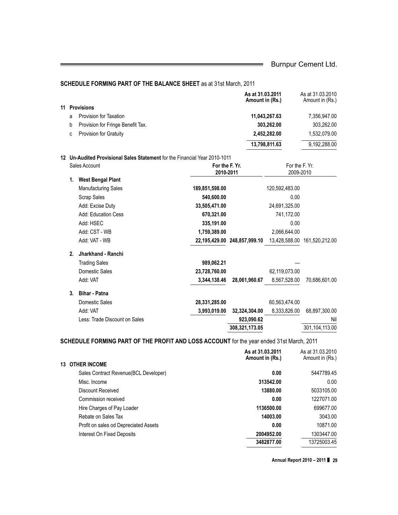#### **SCHEDULE FORMING PART OF THE BALANCE SHEET** as at 31st March, 2011

|    |    |                                   | As at 31.03.2011<br>Amount in (Rs.) | As at 31.03.2010<br>Amount in (Rs.) |
|----|----|-----------------------------------|-------------------------------------|-------------------------------------|
| 11 |    | <b>Provisions</b>                 |                                     |                                     |
|    | a  | Provision for Taxation            | 11,043,267.63                       | 7.356.947.00                        |
|    | b  | Provision for Fringe Benefit Tax. | 303,262.00                          | 303,262.00                          |
|    | C. | <b>Provision for Gratuity</b>     | 2,452,282.00                        | 1,532,079.00                        |
|    |    |                                   | 13,798,811.63                       | 9.192.288.00                        |

#### **12 Un-Audited Provisional Sales Statement** for the Financial Year 2010-1011

|                | Sales Account                 | For the F. Yr.<br>2010-2011 |                              | For the F. Yr.<br>2009-2010 |                              |
|----------------|-------------------------------|-----------------------------|------------------------------|-----------------------------|------------------------------|
| 1.             | <b>West Bengal Plant</b>      |                             |                              |                             |                              |
|                | <b>Manufacturing Sales</b>    | 189,851,598.00              |                              | 120,592,483.00              |                              |
|                | Scrap Sales                   | 540,600.00                  |                              | 0.00                        |                              |
|                | Add: Excise Duty              | 33,505,471.00               |                              | 24,691,325.00               |                              |
|                | Add: Education Cess           | 670,321.00                  |                              | 741,172.00                  |                              |
|                | Add: HSEC                     | 335,191.00                  |                              | 0.00                        |                              |
|                | Add: CST - WB                 | 1,759,389.00                |                              | 2,066,644.00                |                              |
|                | Add: VAT - WB                 |                             | 22,195,429.00 248,857,999.10 |                             | 13,428,588.00 161,520,212.00 |
| 2 <sup>1</sup> | Jharkhand - Ranchi            |                             |                              |                             |                              |
|                | <b>Trading Sales</b>          | 989,062.21                  |                              |                             |                              |
|                | Domestic Sales                | 23,728,760.00               |                              | 62,119,073.00               |                              |
|                | Add: VAT                      | 3,344,138.46                | 28,061,960.67                | 8,567,528.00                | 70,686,601.00                |
| 3.             | <b>Bihar - Patna</b>          |                             |                              |                             |                              |
|                | Domestic Sales                | 28,331,285.00               |                              | 60,563,474.00               |                              |
|                | Add: VAT                      | 3,993,019.00                | 32,324,304.00                | 8,333,826.00                | 68,897,300.00                |
|                | Less: Trade Discount on Sales |                             | 923,090.62                   |                             | Nil                          |
|                |                               |                             | 308,321,173.05               |                             | 301,104,113.00               |

### **SCHEDULE FORMING PART OF THE PROFIT AND LOSS ACCOUNT** for the year ended 31st March, 2011

|                                        | As at 31.03.2011<br>Amount in (Rs.) | As at 31.03.2010<br>Amount in (Rs.) |
|----------------------------------------|-------------------------------------|-------------------------------------|
| <b>13 OTHER INCOME</b>                 |                                     |                                     |
| Sales Contract Revenue (BCL Developer) | 0.00                                | 5447789.45                          |
| Misc. Income                           | 313542.00                           | 0.00                                |
| Discount Received                      | 13880.00                            | 5033105.00                          |
| Commission received                    | 0.00                                | 1227071.00                          |
| Hire Charges of Pay Loader             | 1136500.00                          | 699677.00                           |
| Rebate on Sales Tax                    | 14003.00                            | 3043.00                             |
| Profit on sales od Depreciated Assets  | 0.00                                | 10871.00                            |
| Interest On Fixed Deposits             | 2004952.00                          | 1303447.00                          |
|                                        | 3482877.00                          | 13725003.45                         |

**Annual Report 2010 – 2011** ❚ **29**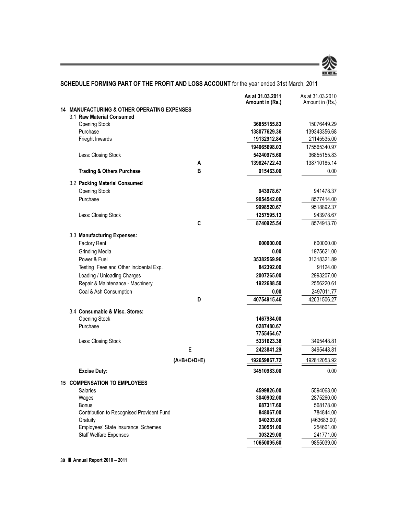

### **SCHEDULE FORMING PART OF THE PROFIT AND LOSS ACCOUNT** for the year ended 31st March, 2011

|  |                                                        |               | As at 31.03.2011<br>Amount in (Rs.) | As at 31.03.2010<br>Amount in (Rs.) |
|--|--------------------------------------------------------|---------------|-------------------------------------|-------------------------------------|
|  | <b>14 MANUFACTURING &amp; OTHER OPERATING EXPENSES</b> |               |                                     |                                     |
|  | 3.1 Raw Material Consumed                              |               |                                     |                                     |
|  | <b>Opening Stock</b>                                   |               | 36855155.83                         | 15076449.29                         |
|  | Purchase                                               |               | 138077629.36                        | 139343356.68                        |
|  | Frieght Inwards                                        |               | 19132912.84                         | 21145535.00                         |
|  |                                                        |               | 194065698.03                        | 175565340.97                        |
|  | Less: Closing Stock                                    |               | 54240975.60                         | 36855155.83                         |
|  |                                                        | A             | 139824722.43                        | 138710185.14                        |
|  | <b>Trading &amp; Others Purchase</b>                   | B             | 915463.00                           | 0.00                                |
|  | 3.2 Packing Material Consumed                          |               |                                     |                                     |
|  | <b>Opening Stock</b>                                   |               | 943978.67                           | 941478.37                           |
|  | Purchase                                               |               | 9054542.00                          | 8577414.00                          |
|  |                                                        |               | 9998520.67                          | 9518892.37                          |
|  | Less: Closing Stock                                    |               | 1257595.13                          | 943978.67                           |
|  |                                                        | C             | 8740925.54                          | 8574913.70                          |
|  | 3.3 Manufacturing Expenses:                            |               |                                     |                                     |
|  | <b>Factory Rent</b>                                    |               | 600000.00                           | 600000.00                           |
|  | <b>Grinding Media</b>                                  |               | 0.00                                | 1975621.00                          |
|  | Power & Fuel                                           |               | 35382569.96                         | 31318321.89                         |
|  | Testing Fees and Other Incidental Exp.                 |               | 842392.00                           | 91124.00                            |
|  | Loading / Unloading Charges                            |               | 2007265.00                          | 2993207.00                          |
|  | Repair & Maintenance - Machinery                       |               | 1922688.50                          | 2556220.61                          |
|  | Coal & Ash Consumption                                 |               | 0.00                                | 2497011.77                          |
|  |                                                        | D             | 40754915.46                         | 42031506.27                         |
|  | 3.4 Consumable & Misc. Stores:                         |               |                                     |                                     |
|  | <b>Opening Stock</b>                                   |               | 1467984.00                          |                                     |
|  | Purchase                                               |               | 6287480.67                          |                                     |
|  |                                                        |               | 7755464.67                          |                                     |
|  | Less: Closing Stock                                    |               | 5331623.38                          | 3495448.81                          |
|  |                                                        | Е             | 2423841.29                          | 3495448.81                          |
|  |                                                        | $(A+B+C+D+E)$ | 192659867.72                        | 192812053.92                        |
|  | <b>Excise Duty:</b>                                    |               | 34510983.00                         | 0.00                                |
|  | <b>15 COMPENSATION TO EMPLOYEES</b>                    |               |                                     |                                     |
|  | Salaries                                               |               | 4599826.00                          | 5594068.00                          |
|  | Wages                                                  |               | 3040902.00                          | 2875260.00                          |
|  | Bonus                                                  |               | 687317.60                           | 568178.00                           |
|  | Contribution to Recognised Provident Fund              |               | 848067.00                           | 784844.00                           |
|  | Gratuity                                               |               | 940203.00                           | (463683.00)                         |
|  | Employees' State Insurance Schemes                     |               | 230551.00                           | 254601.00                           |
|  | <b>Staff Welfare Expenses</b>                          |               | 303229.00                           | 241771.00                           |
|  |                                                        |               | 10650095.60                         | 9855039.00                          |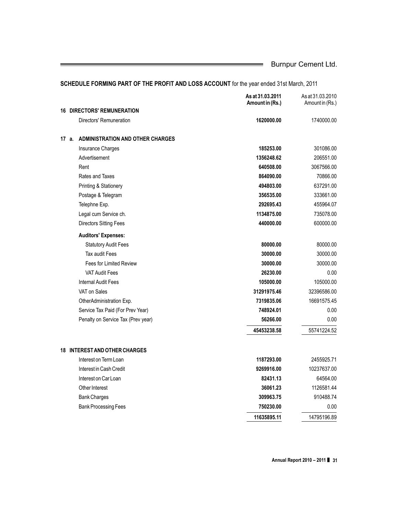|                                                  | As at 31.03.2011<br>Amount in (Rs.) | As at 31,03,2010<br>Amount in (Rs.) |
|--------------------------------------------------|-------------------------------------|-------------------------------------|
| <b>DIRECTORS' REMUNERATION</b><br>16             |                                     |                                     |
| Directors' Remuneration                          | 1620000.00                          | 1740000.00                          |
| <b>ADMINISTRATION AND OTHER CHARGES</b><br>17 a. |                                     |                                     |
| <b>Insurance Charges</b>                         | 185253.00                           | 301086.00                           |
| Advertisement                                    | 1356248.62                          | 206551.00                           |
| Rent                                             | 640508.00                           | 3067566.00                          |
| Rates and Taxes                                  | 864090.00                           | 70866.00                            |
| Printing & Stationery                            | 494803.00                           | 637291.00                           |
| Postage & Telegram                               | 356535.00                           | 333661.00                           |
| Telephne Exp.                                    | 292695.43                           | 455964.07                           |
| Legal cum Service ch.                            | 1134875.00                          | 735078.00                           |
| <b>Directors Sitting Fees</b>                    | 440000.00                           | 600000.00                           |
| <b>Auditors' Expenses:</b>                       |                                     |                                     |
| <b>Statutory Audit Fees</b>                      | 80000.00                            | 80000.00                            |
| <b>Tax audit Fees</b>                            | 30000.00                            | 30000.00                            |
| <b>Fees for Limited Review</b>                   | 30000.00                            | 30000.00                            |
| <b>VAT Audit Fees</b>                            | 26230.00                            | 0.00                                |
| Internal Audit Fees                              | 105000.00                           | 105000.00                           |
| VAT on Sales                                     | 31291975.46                         | 32396586.00                         |
| OtherAdministration Exp.                         | 7319835.06                          | 16691575.45                         |
| Service Tax Paid (For Prev Year)                 | 748924.01                           | 0.00                                |
| Penalty on Service Tax (Prev year)               | 56266.00                            | 0.00                                |
|                                                  | 45453238.58                         | 55741224.52                         |
| <b>18 INTEREST AND OTHER CHARGES</b>             |                                     |                                     |
| Interest on Term Loan                            | 1187293.00                          | 2455925.71                          |
| Interest in Cash Credit                          | 9269916.00                          | 10237637.00                         |
| Interest on Car Loan                             | 82431.13                            | 64564.00                            |
| Other Interest                                   | 36061.23                            | 1126581.44                          |
| <b>Bank Charges</b>                              | 309963.75                           | 910488.74                           |
| <b>Bank Processing Fees</b>                      | 750230.00                           | 0.00                                |
|                                                  | 11635895.11                         | 14795196.89                         |

### **SCHEDULE FORMING PART OF THE PROFIT AND LOSS ACCOUNT** for the year ended 31st March, 2011

**Annual Report 2010 – 2011** ❚ **31**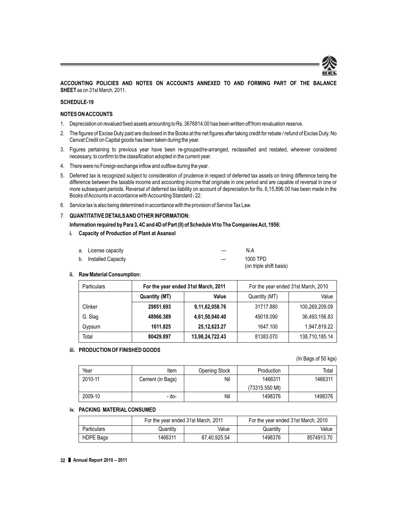

#### **ACCOUNTING POLICIES AND NOTES ON ACCOUNTS ANNEXED TO AND FORMING PART OF THE BALANCE SHEET** as on 31st March, 2011.

#### **SCHEDULE-19**

#### **NOTES ON ACCOUNTS**

- 1. Depreciation on revalued fixed assets amounting to Rs. 3676814.00 has been written off from revaluation reserve.
- 2. The figures of Excise Duty paid are disclosed in the Books at the net figures after taking credit for rebate / refund of Excise Duty. No Cenvat Credit on Capital goods has been taken during the year.
- 3. Figures pertaining to previous year have been re-grouped/re-arranged, reclassified and restated, wherever considered necessary, to confirm to the classification adopted in the current year.
- 4. There were no Foreign exchange inflow and outflow during the year.
- 5. Deferred tax is recognized subject to consideration of prudence in respect of deferred tax assets on timing difference being the difference between the taxable income and accounting income that originate in one period and are capable of reversal in one or more subsequent periods. Reversal of deferred tax liability on account of depreciation for Rs. 6,15,896.00 has been made in the Books of Accounts in accordance with Accounting Standard - 22.
- 6. Service tax is also being determined in accordance with the provision of Service Tax Law.

#### 7. **QUANTITATIVE DETAILSAND OTHER INFORMATION:**

- **Information required by Para 3, 4C and 4D of Part (II) of Schedule VI to The Companies Act, 1956:**
- **i. Capacity of Production of Plant at Asansol**

| a. License capacity   | N A                     |
|-----------------------|-------------------------|
| b. Installed Capacity | 1000 TPD                |
|                       | (on triple shift basis) |

#### **ii. Raw Material Consumption:**

| <b>Particulars</b>     | For the year ended 31st March, 2011 |                 | For the year ended 31st March, 2010 |                |  |
|------------------------|-------------------------------------|-----------------|-------------------------------------|----------------|--|
| Value<br>Quantity (MT) |                                     | Quantity (MT)   | Value                               |                |  |
| Clinker                | 29851.693                           | 9,11,62,058.76  | 31717.880                           | 100.269.209.09 |  |
| G. Slag                | 48966.389                           | 4,61,50,040.40  | 49018.090                           | 36.493.156.83  |  |
| Gypsum                 | 1611.825                            | 25, 12, 623. 27 | 1647.100                            | 1,947,819.22   |  |
| Total                  | 80429.897                           | 13,98,24,722.43 | 81383.070                           | 138,710,185.14 |  |

#### **iii. PRODUCTION OF FINISHED GOODS**

#### (In Bags of 50 kgs)

| Year    | Item             | <b>Opening Stock</b> | Production       | Total   |
|---------|------------------|----------------------|------------------|---------|
| 2010-11 | Cement (in Bags) | Nil                  | 1466311          | 1466311 |
|         |                  |                      | $(73315.550$ Mt) |         |
| 2009-10 | - do-            | Nil                  | 1498376          | 1498376 |

#### **iv. PACKING MATERIAL CONSUMED**

|                    | For the year ended 31st March, 2011 |              | For the year ended 31st March, 2010 |            |
|--------------------|-------------------------------------|--------------|-------------------------------------|------------|
| <b>Particulars</b> | Quantity                            | Value        | Quantity                            | Value      |
| <b>HDPE Bags</b>   | 1466311                             | 87.40.925.54 | 1498376                             | 8574913.70 |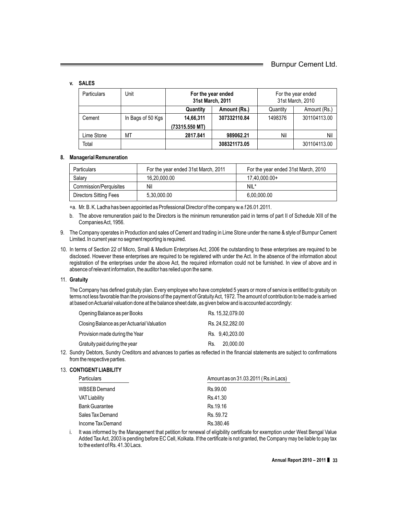#### **v. SALES**

| <b>Particulars</b> | Unit              | For the year ended<br>31st March, 2011 |              | For the year ended<br>31st March, 2010 |              |  |
|--------------------|-------------------|----------------------------------------|--------------|----------------------------------------|--------------|--|
|                    |                   | Quantity                               | Amount (Rs.) | Quantity                               | Amount (Rs.) |  |
| Cement             | In Bags of 50 Kgs | 14,66,311                              | 307332110.84 | 1498376                                | 301104113.00 |  |
|                    |                   | (73315.550 MT)                         |              |                                        |              |  |
| Lime Stone         | МT                | 2817.841                               | 989062.21    | Nil                                    | Nil          |  |
| Total              |                   |                                        | 308321173.05 |                                        | 301104113.00 |  |

#### **8. Managerial Remuneration**

| Particulars                   | For the year ended 31st March, 2011 | For the year ended 31st March, 2010 |  |
|-------------------------------|-------------------------------------|-------------------------------------|--|
| Salary                        | 16.20.000.00                        | 17.40.000.00+                       |  |
| <b>Commission/Perquisites</b> | Nil                                 | $NIL^*$                             |  |
| <b>Directors Sitting Fees</b> | 5.30.000.00                         | 6.00.000.00                         |  |

+a. Mr. B. K. Ladha has been appointed as Professional Director of the company w.e.f 26.01.2011.

b. The above remuneration paid to the Directors is the minimum remuneration paid in terms of part II of Schedule XIII of the Companies Act, 1956.

- 9. The Company operates in Production and sales of Cement and trading in Lime Stone under the name & style of Burnpur Cement Limited. In current year no segment reporting is required.
- 10. In terms of Section 22 of Micro, Small & Medium Enterprises Act, 2006 the outstanding to these enterprises are required to be disclosed. However these enterprises are required to be registered with under the Act. In the absence of the information about registration of the enterprises under the above Act, the required information could not be furnished. In view of above and in absence of relevant information, the auditor has relied upon the same.

#### 11. **Gratuity**

The Company has defined gratuity plan. Every employee who have completed 5 years or more of service is entitled to gratuity on terms not less favorable than the provisions of the payment of Gratuity Act, 1972. The amount of contribution to be made is arrived at based on Actuarial valuation done at the balance sheet date, as given below and is accounted accordingly:

| Opening Balance as per Books               | Rs. 15.32.079.00 |
|--------------------------------------------|------------------|
| Closing Balance as per Actuarial Valuation | Rs. 24.52.282.00 |
| Provision made during the Year             | Rs. 9.40.203.00  |
| Gratuity paid during the year              | 20,000.00<br>Rs. |

12. Sundry Debtors, Sundry Creditors and advances to parties as reflected in the financial statements are subject to confirmations from the respective parties.

#### 13. **CONTIGENT LIABILITY**

| <b>Particulars</b>    | Amount as on 31.03.2011 (Rs.in Lacs) |  |  |
|-----------------------|--------------------------------------|--|--|
| WBSEB Demand          | Rs.99.00                             |  |  |
| <b>VAT Liability</b>  | Rs.41.30                             |  |  |
| <b>Bank Guarantee</b> | Rs. 19.16                            |  |  |
| Sales Tax Demand      | Rs. 59.72                            |  |  |
| Income Tax Demand     | Rs.380.46                            |  |  |

i. It was informed by the Management that petition for renewal of eligibility certificate for exemption under West Bengal Value Added Tax Act, 2003 is pending before EC Cell, Kolkata. If the certificate is not granted, the Company may be liable to pay tax to the extent of Rs. 41.30 Lacs.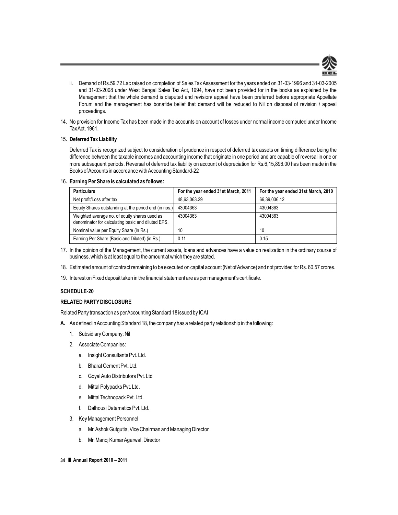

- ii. Demand of Rs.59.72 Lac raised on completion of Sales Tax Assessment for the years ended on 31-03-1996 and 31-03-2005 and 31-03-2008 under West Bengal Sales Tax Act, 1994, have not been provided for in the books as explained by the Management that the whole demand is disputed and revision/ appeal have been preferred before appropriate Appellate Forum and the management has bonafide belief that demand will be reduced to Nil on disposal of revision / appeal proceedings.
- 14. No provision for Income Tax has been made in the accounts on account of losses under normal income computed under Income Tax Act, 1961.

#### 15**. Deferred Tax Liability**

Deferred Tax is recognized subject to consideration of prudence in respect of deferred tax assets on timing difference being the difference between the taxable incomes and accounting income that originate in one period and are capable of reversal in one or more subsequent periods. Reversal of deferred tax liability on account of depreciation for Rs.6,15,896.00 has been made in the Books of Accounts in accordance with Accounting Standard-22

#### 16**. Earning Per Share is calculated as follows:**

| <b>Particulars</b>                                                                                  | For the year ended 31st March, 2011 | For the year ended 31st March, 2010 |
|-----------------------------------------------------------------------------------------------------|-------------------------------------|-------------------------------------|
| Net profit/Loss after tax                                                                           | 48.63.063.29                        | 66.39.036.12                        |
| Equity Shares outstanding at the period end (in nos.)                                               | 43004363                            | 43004363                            |
| Weighted average no. of equity shares used as<br>denominator for calculating basic and diluted EPS. | 43004363                            | 43004363                            |
| Nominal value per Equity Share (in Rs.)                                                             | 10                                  | 10                                  |
| Earning Per Share (Basic and Diluted) (in Rs.)                                                      | 0.11                                | 0.15                                |

- 17. In the opinion of the Management, the current assets, loans and advances have a value on realization in the ordinary course of business, which is at least equal to the amount at which they are stated.
- 18. Estimated amount of contract remaining to be executed on capital account (Net of Advance) and not provided for Rs. 60.57 crores.
- 19. Interest on Fixed deposit taken in the financial statement are as per management's certificate.

#### **SCHEDULE-20**

#### **RELATED PARTY DISCLOSURE**

Related Party transaction as per Accounting Standard 18 issued by ICAI

- **A.** As defined in Accounting Standard 18, the company has a related party relationship in the following:
	- 1. Subsidiary Company: Nil
	- 2. Associate Companies:
		- a. Insight Consultants Pvt. Ltd.
		- b. Bharat Cement Pvt. Ltd.
		- c. GoyalAuto Distributors Pvt. Ltd
		- d. Mittal Polypacks Pvt. Ltd.
		- e. Mittal Technopack Pvt. Ltd.
		- f. Dalhousi Datamatics Pvt. Ltd.
	- 3. Key Management Personnel
		- a. Mr.Ashok Gutgutia, Vice Chairman and Managing Director
		- b. Mr. Manoj Kumar Agarwal, Director
- **34** ❚ **Annual Report 2010 2011**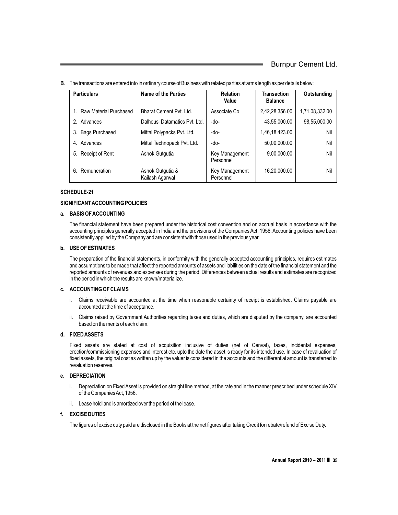| <b>Particulars</b>        | Name of the Parties                 | <b>Relation</b><br>Value    | <b>Transaction</b><br><b>Balance</b> | Outstanding    |
|---------------------------|-------------------------------------|-----------------------------|--------------------------------------|----------------|
| 1. Raw Material Purchased | Bharat Cement Pvt. Ltd.             | Associate Co.               | 2,42,28,356.00                       | 1,71,08,332.00 |
| 2. Advances               | Dalhousi Datamatics Pvt. Ltd.       | -do-                        | 43,55,000.00                         | 98,55,000.00   |
| 3. Bags Purchased         | Mittal Polypacks Pvt. Ltd.          | -do-                        | 1,46,18,423.00                       | Nil            |
| Advances<br>4.            | Mittal Technopack Pvt. Ltd.         | -do-                        | 50,00,000.00                         | Nil            |
| 5. Receipt of Rent        | Ashok Gutgutia                      | Key Management<br>Personnel | 9,00,000.00                          | Nil            |
| Remuneration<br>6.        | Ashok Gutgutia &<br>Kailash Agarwal | Key Management<br>Personnel | 16,20,000.00                         | Nil            |

**B**. The transactions are entered into in ordinary course of Business with related parties at arms length as per details below:

#### **SCHEDULE-21**

#### **SIGNIFICANT ACCOUNTING POLICIES**

#### **a. BASIS OF ACCOUNTING**

The financial statement have been prepared under the historical cost convention and on accrual basis in accordance with the accounting principles generally accepted in India and the provisions of the Companies Act, 1956. Accounting policies have been consistently applied by the Company and are consistent with those used in the previous year.

#### **b. USE OF ESTIMATES**

The preparation of the financial statements, in conformity with the generally accepted accounting principles, requires estimates and assumptions to be made that affect the reported amounts of assets and liabilities on the date of the financial statement and the reported amounts of revenues and expenses during the period. Differences between actual results and estimates are recognized in the period in which the results are known/materialize.

#### **c. ACCOUNTING OF CLAIMS**

- i. Claims receivable are accounted at the time when reasonable certainty of receipt is established. Claims payable are accounted at the time of acceptance.
- ii. Claims raised by Government Authorities regarding taxes and duties, which are disputed by the company, are accounted based on the merits of each claim.

#### **d. FIXED ASSETS**

Fixed assets are stated at cost of acquisition inclusive of duties (net of Cenvat), taxes, incidental expenses, erection/commissioning expenses and interest etc. upto the date the asset is ready for its intended use. In case of revaluation of fixed assets, the original cost as written up by the valuer is considered in the accounts and the differential amount is transferred to revaluation reserves.

#### **e. DEPRECIATION**

- i. Depreciation on Fixed Asset is provided on straight line method, at the rate and in the manner prescribed under schedule XIV of the Companies Act, 1956.
- ii. Lease hold land is amortized over the period of the lease.

#### **f. EXCISE DUTIES**

The figures of excise duty paid are disclosed in the Books at the net figures after taking Credit for rebate/refund of Excise Duty.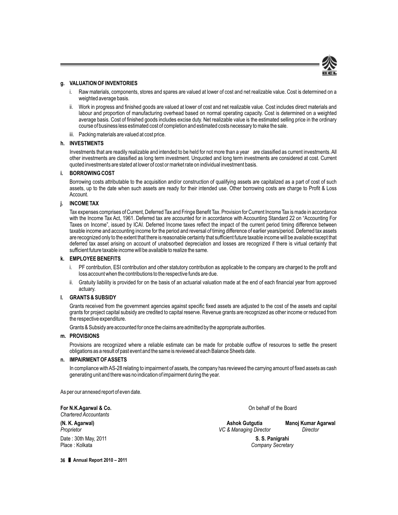

#### **g. VALUATION OF INVENTORIES**

- i. Raw materials, components, stores and spares are valued at lower of cost and net realizable value. Cost is determined on a weighted average basis.
- ii. Work in progress and finished goods are valued at lower of cost and net realizable value. Cost includes direct materials and labour and proportion of manufacturing overhead based on normal operating capacity. Cost is determined on a weighted average basis. Cost of finished goods includes excise duty. Net realizable value is the estimated selling price in the ordinary course of business less estimated cost of completion and estimated costs necessary to make the sale.
- iii. Packing materials are valued at cost price.

#### **h. INVESTMENTS**

Investments that are readily realizable and intended to be held for not more than a year are classified as current investments. All other investments are classified as long term investment. Unquoted and long term investments are considered at cost. Current quoted investments are stated at lower of cost or market rate on individual investment basis.

#### **i. BORROWING COST**

Borrowing costs attributable to the acquisition and/or construction of qualifying assets are capitalized as a part of cost of such assets, up to the date when such assets are ready for their intended use. Other borrowing costs are charge to Profit & Loss Account.

#### **j. INCOME TAX**

Tax expenses comprises of Current, Deferred Tax and Fringe Benefit Tax. Provision for Current Income Tax is made in accordance with the Income Tax Act, 1961. Deferred tax are accounted for in accordance with Accounting Standard 22 on "Accounting For Taxes on Income", issued by ICAI. Deferred Income taxes reflect the impact of the current period timing difference between taxable income and accounting income for the period and reversal of timing difference of earlier years/period. Deferred tax assets are recognized only to the extent that there is reasonable certainty that sufficient future taxable income will be available except that deferred tax asset arising on account of unabsorbed depreciation and losses are recognized if there is virtual certainty that sufficient future taxable income will be available to realize the same.

#### **k. EMPLOYEE BENEFITS**

- PF contribution, ESI contribution and other statutory contribution as applicable to the company are charged to the profit and loss account when the contributions to the respective funds are due.
- ii. Gratuity liability is provided for on the basis of an actuarial valuation made at the end of each financial year from approved actuary.

#### **l. GRANTS & SUBSIDY**

Grants received from the government agencies against specific fixed assets are adjusted to the cost of the assets and capital grants for project capital subsidy are credited to capital reserve. Revenue grants are recognized as other income or reduced from the respective expenditure.

Grants & Subsidy are accounted for once the claims are admitted by the appropriate authorities.

#### **m. PROVISIONS**

Provisions are recognized where a reliable estimate can be made for probable outflow of resources to settle the present obligations as a result of past event and the same is reviewed at each Balance Sheets date.

#### **n. IMPAIRMENT OFASSETS**

In compliance with AS-28 relating to impairment of assets, the company has reviewed the carrying amount of fixed assets as cash generating unit and there was no indication of impairment during the year.

As per our annexed report of even date.

**For N.K.Agarwal & Co. Co. Co. Co. Co. Co. Co. Co. Co. Co. Co. Co. Co. Co. Co. Co. Co. Co. Co. Co. Co. Co. Co. Co. Co. Co. Co. Co. Co. Co. Co. Co. Co. Co.** *Chartered Accountants*

Date : 30th May, 2011 **S. S. Panigrahi**

**(N. K. Agarwal) (N. K. Agarwal) Ashok Gutgutia Manoj Kumar Agarwal**<br>Proprietor *Director Director Director* **Proprietor** VC & Managing Director

**Company Secretary**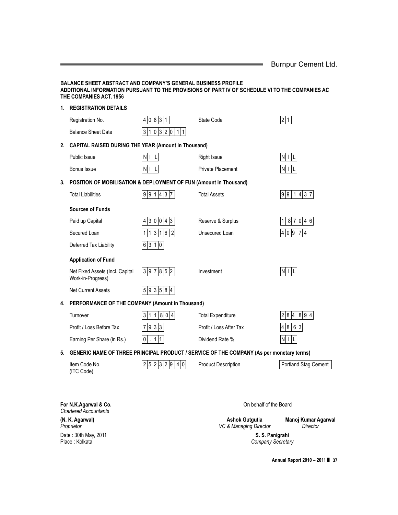|  | Burnpur Cement Ltd. |
|--|---------------------|
|--|---------------------|

### **BALANCE SHEET ABSTRACT AND COMPANY'S GENERAL BUSINESS PROFILE ADDITIONAL INFORMATION PURSUANT TO THE PROVISIONS OF PART IV OF SCHEDULE VI TO THE COMPANIES AC THE COMPANIES ACT, 1956 1. REGISTRATION DETAILS** Registration No.  $\boxed{4 \mid 0 \mid 8 \mid 3 \mid 1}$  State Code 2 1 Balance Sheet Date  $3 | 1 | 0 | 3 | 2 | 0 | 1 | 1$ **2. CAPITAL RAISED DURING THE YEAR (Amount in Thousand)** Public Issue  $|N| + |L|$  Right Issue  $|N| + |L|$ Bonus Issue  $|N| I |L|$  Private Placement  $|N| I |L$ **3. POSITION OF MOBILISATION & DEPLOYMENT OF FUN (Amount in Thousand)** Total Liabilities  $9|9|1|4|3|7$  Total Assets  $9|9|1|4|3|7$ **Sources of Funds** Paid up Capital  $|4|3|0|0|4|3$  Reserve & Surplus  $|1|8|7|0|4|6$ Secured Loan  $\vert 1 \vert 1 \vert 3 \vert 1 \vert 6 \vert 2 \vert$  Unsecured Loan Deferred Tax Liability  $\boxed{6}$  3 1 0 **Application of Fund** Net Fixed Assets (Incl. Capital  $\begin{array}{|c|c|c|c|c|c|}\n3 & 9 & 7 & 8 & 5 & 2\n\end{array}$  Investment N I L Work-in-Progress) Net Current Assets  $|5|9|3|5|8|4$ **4. PERFORMANCE OF THE COMPANY (Amount in Thousand)** Turnover  $3|1|1|8|0|4$  Total Expenditure  $2|8|4|8|9|4$ Profit / Loss Before Tax  $|7|9|3|3$  Profit / Loss After Tax  $|4|8|6|3$ Earning Per Share (in Rs.)  $|0| \cdot |1|1$  Dividend Rate %  $|N|1|L$

#### **5. GENERIC NAME OF THREE PRINCIPAL PRODUCT / SERVICE OF THE COMPANY (As per monetary terms)**

(ITC Code)

Item Code No.  $\sqrt{2/5/2/3/2}$  |  $\sqrt{9/4/0}$  Product Description Portland Stag Cement

**For N.K.Agarwal & Co.** On behalf of the Board *Chartered Accountants*

**(N. K. Agarwal) (N. K. Agarwal) Ashok Gutgutia Manoj Kumar Agarwal**<br>Proprietor *Director Director Director* Date : 30th May, 2011 **S. S. Panigrahi**

**VC & Managing Director** 

**Company Secretary** 

**Annual Report 2010 – 2011** ❚ **37**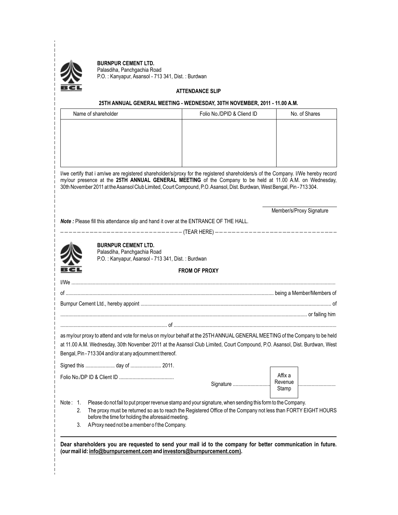

**BURNPUR CEMENT LTD.** Palasdiha, Panchgachia Road P.O. : Kanyapur, Asansol - 713 341, Dist. : Burdwan

#### **ATTENDANCE SLIP**

|  | 25TH ANNUAL GENERAL MEETING - WEDNESDAY, 30TH NOVEMBER, 2011 - 11.00 A.M.                                                                                                                                                                                                                                                                                                 |                            |                                                                                                           |  |
|--|---------------------------------------------------------------------------------------------------------------------------------------------------------------------------------------------------------------------------------------------------------------------------------------------------------------------------------------------------------------------------|----------------------------|-----------------------------------------------------------------------------------------------------------|--|
|  | Name of shareholder                                                                                                                                                                                                                                                                                                                                                       | Folio No./DPID & Cliend ID | No. of Shares                                                                                             |  |
|  |                                                                                                                                                                                                                                                                                                                                                                           |                            |                                                                                                           |  |
|  |                                                                                                                                                                                                                                                                                                                                                                           |                            |                                                                                                           |  |
|  |                                                                                                                                                                                                                                                                                                                                                                           |                            |                                                                                                           |  |
|  |                                                                                                                                                                                                                                                                                                                                                                           |                            |                                                                                                           |  |
|  | I/we certify that i am/we are registered shareholder/s/proxy for the registered shareholders/s of the Company. I/We hereby record<br>my/our presence at the 25TH ANNUAL GENERAL MEETING of the Company to be held at 11.00 A.M. on Wednesday,<br>30th November 2011 at the Asansol Club Limited, Court Compound, P.O. Asansol, Dist. Burdwan, West Bengal, Pin - 713 304. |                            |                                                                                                           |  |
|  |                                                                                                                                                                                                                                                                                                                                                                           |                            | Member/s/Proxy Signature                                                                                  |  |
|  | Note: Please fill this attendance slip and hand it over at the ENTRANCE OF THE HALL.                                                                                                                                                                                                                                                                                      |                            |                                                                                                           |  |
|  |                                                                                                                                                                                                                                                                                                                                                                           |                            |                                                                                                           |  |
|  | <b>BURNPUR CEMENT LTD.</b><br>Palasdiha, Panchgachia Road<br>P.O.: Kanyapur, Asansol - 713 341, Dist.: Burdwan                                                                                                                                                                                                                                                            |                            |                                                                                                           |  |
|  |                                                                                                                                                                                                                                                                                                                                                                           | <b>FROM OF PROXY</b>       |                                                                                                           |  |
|  |                                                                                                                                                                                                                                                                                                                                                                           |                            |                                                                                                           |  |
|  |                                                                                                                                                                                                                                                                                                                                                                           |                            |                                                                                                           |  |
|  |                                                                                                                                                                                                                                                                                                                                                                           |                            |                                                                                                           |  |
|  |                                                                                                                                                                                                                                                                                                                                                                           |                            |                                                                                                           |  |
|  |                                                                                                                                                                                                                                                                                                                                                                           |                            |                                                                                                           |  |
|  | as my/our proxy to attend and vote for me/us on my/our behalf at the 25TH ANNUAL GENERAL MEETING of the Company to be held<br>at 11.00 A.M. Wednesday, 30th November 2011 at the Asansol Club Limited, Court Compound, P.O. Asansol, Dist. Burdwan, West<br>Bengal, Pin - 713 304 and/or at any adjournment thereof.                                                      |                            |                                                                                                           |  |
|  | Signed this  day of  2011.                                                                                                                                                                                                                                                                                                                                                |                            |                                                                                                           |  |
|  |                                                                                                                                                                                                                                                                                                                                                                           |                            | Affix a                                                                                                   |  |
|  |                                                                                                                                                                                                                                                                                                                                                                           | Signature                  | Revenue<br>Stamp                                                                                          |  |
|  |                                                                                                                                                                                                                                                                                                                                                                           |                            | Please do not fail to put proper revenue stamp and your signature, when sending this form to the Company. |  |

**Dear shareholders you are requested to send your mail id to the company for better communication in future. (our mail id: info@burnpurcement.com and investors@burnpurcement.com).**